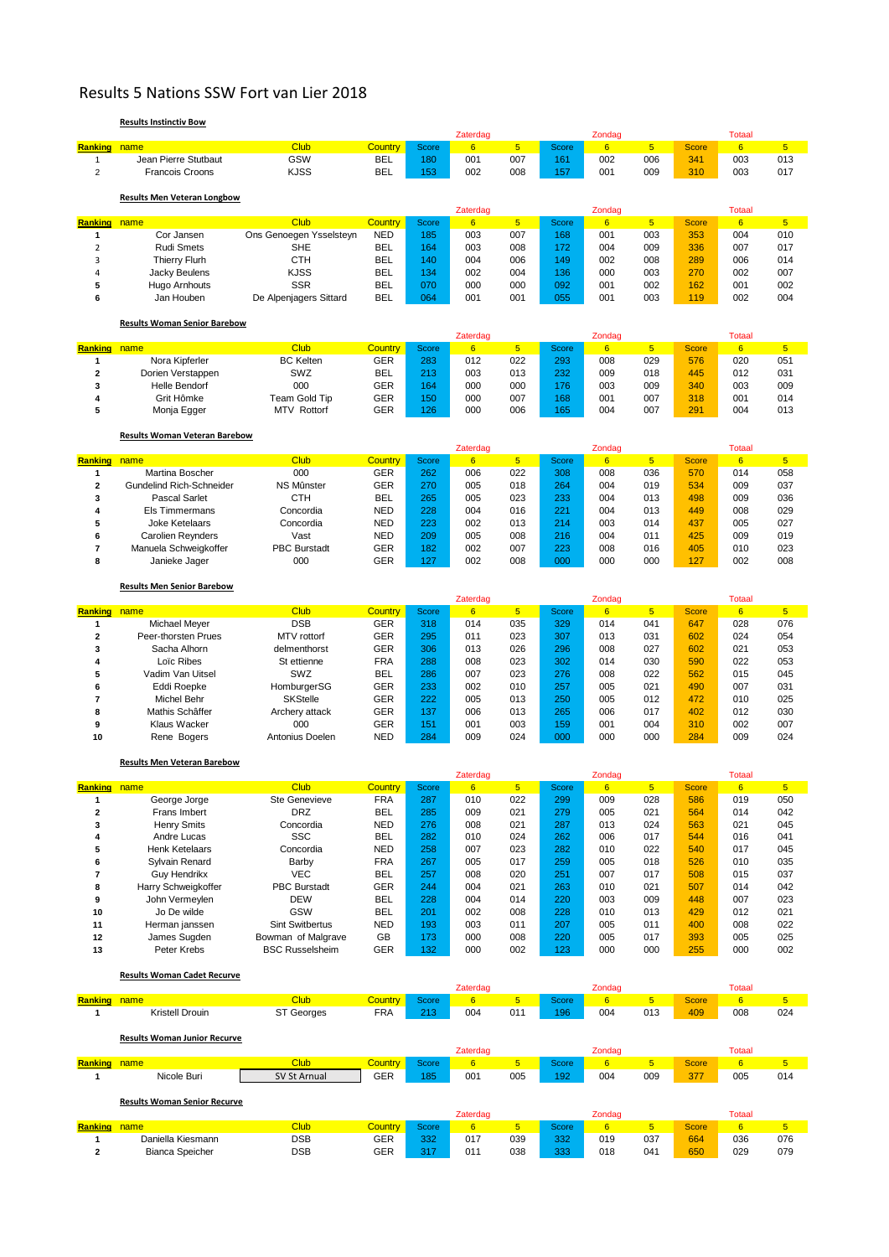## Results 5 Nations SSW Fort van Lier 2018

## **Results Instinctiv Bow**

**Bianca Speicher** 

| Ranking name<br><b>Club</b><br><b>Country</b><br>$6\phantom{a}$<br>$5\phantom{1}$<br>$6\phantom{1}$<br>6<br>$5\phantom{.0}$<br><b>Score</b><br>Score<br>$\sqrt{5}$<br><b>Score</b><br>Jean Pierre Stutbaut<br>GSW<br><b>BEL</b><br>001<br>007<br>002<br>006<br>003<br>013<br>180<br>161<br>341<br>$\mathbf{1}$<br><b>KJSS</b><br><b>BEL</b><br>002<br>008<br>001<br>009<br>310<br>003<br>017<br>$\overline{2}$<br><b>Francois Croons</b><br>153<br>157<br><b>Results Men Veteran Longbow</b><br>Zaterdag<br>Zondag<br><b>Totaal</b><br><b>Club</b><br>$5\phantom{.0}$<br><b>Country</b><br>6<br>$5\overline{)}$<br>6<br>6<br>5 <sub>5</sub><br><b>Ranking</b> name<br><b>Score</b><br><b>Score</b><br>Score<br>Ons Genoegen Ysselsteyn<br><b>NED</b><br>007<br>003<br>Cor Jansen<br>185<br>003<br>168<br>001<br>353<br>004<br>010<br>1<br><b>SHE</b><br><b>BEL</b><br>$\overline{2}$<br><b>Rudi Smets</b><br>003<br>008<br>004<br>009<br>336<br>007<br>017<br>164<br>172<br><b>CTH</b><br>3<br><b>BEL</b><br>140<br>004<br>006<br>149<br>002<br>008<br>289<br>006<br>014<br><b>Thierry Flurh</b><br>4<br>Jacky Beulens<br><b>KJSS</b><br><b>BEL</b><br>134<br>002<br>004<br>136<br>000<br>003<br>270<br>002<br>007<br><b>SSR</b><br><b>BEL</b><br>000<br>092<br>5<br>070<br>000<br>001<br>002<br>162<br>001<br>002<br>Hugo Arnhouts<br><b>BEL</b><br>064<br>001<br>055<br>003<br>002<br>004<br>6<br>De Alpenjagers Sittard<br>001<br>001<br>119<br>Jan Houben<br><b>Results Woman Senior Barebow</b><br>Zaterdag<br>Zondag<br><b>Totaal</b><br>Club<br>$5\phantom{.0}$<br><b>Country</b><br>6<br>$5\overline{)}$<br>6<br>$6\overline{6}$<br>5 <sub>5</sub><br><b>Ranking</b> name<br><b>Score</b><br>Score<br>Score<br><b>BC Kelten</b><br><b>GER</b><br>022<br>029<br>Nora Kipferler<br>283<br>012<br>293<br>008<br>576<br>020<br>051<br>1<br>SWZ<br><b>BEL</b><br>232<br>Dorien Verstappen<br>213<br>003<br>013<br>009<br>018<br>445<br>012<br>031<br>$\overline{\mathbf{2}}$<br>000<br><b>GER</b><br>000<br>000<br>009<br>003<br>009<br>3<br><b>Helle Bendorf</b><br>176<br>003<br>340<br>164<br>4<br>Grit Hômke<br>Team Gold Tip<br>GER<br>150<br>000<br>007<br>168<br>001<br>007<br>318<br>001<br>014<br>GER<br>000<br>291<br>004<br>5<br><b>MTV Rottorf</b><br>126<br>006<br>165<br>004<br>007<br>013<br>Monja Egger<br><b>Results Woman Veteran Barebow</b><br>Zaterdag<br><b>Totaal</b><br>Zondag<br>Ranking<br><b>Club</b><br><b>Country</b><br>$5\phantom{.0}$<br><b>Score</b><br>$5\phantom{.0}$<br>name<br><b>Score</b><br>6<br>Score<br>6<br>$\sqrt{5}$<br>6<br>000<br><b>GER</b><br>006<br>022<br>036<br>058<br>Martina Boscher<br>262<br>308<br>008<br>570<br>014<br>1<br><b>GER</b><br>005<br>$\overline{\mathbf{2}}$<br><b>Gundelind Rich-Schneider</b><br>NS Mûnster<br>270<br>018<br>264<br>004<br>019<br>534<br>009<br>037<br><b>CTH</b><br><b>BEL</b><br>023<br>233<br><b>Pascal Sarlet</b><br>265<br>005<br>004<br>013<br>498<br>009<br>036<br>3<br><b>NED</b><br>004<br>221<br>013<br>008<br>029<br>4<br>Els Timmermans<br>Concordia<br>228<br>016<br>004<br>449<br>5<br><b>Joke Ketelaars</b><br>Concordia<br><b>NED</b><br>223<br>002<br>013<br>214<br>003<br>014<br>437<br>005<br>027<br>008<br>425<br>6<br>Vast<br><b>NED</b><br>209<br>005<br>216<br>004<br>011<br>009<br>019<br><b>Carolien Reynders</b><br><b>PBC Burstadt</b><br>GER<br>002<br>007<br>023<br>7<br>Manuela Schweigkoffer<br>182<br>223<br>008<br>016<br>405<br>010<br>000<br><b>GER</b><br>000<br>127<br>127<br>002<br>008<br>000<br>000<br>002<br>008<br>8<br>Janieke Jager<br><b>Results Men Senior Barebow</b><br>Zondag<br><b>Totaal</b><br>Zaterdag<br><b>Club</b><br><b>Country</b><br>6<br>5 <sub>5</sub><br>6<br>5 <sub>5</sub><br>6<br>5 <sup>5</sup><br>Ranking<br>name<br><b>Score</b><br><b>Score</b><br><b>Score</b><br><b>DSB</b><br><b>GER</b><br>014<br>076<br>Michael Meyer<br>318<br>035<br>329<br>014<br>041<br>647<br>028<br>1<br>$\overline{\mathbf{2}}$<br><b>GER</b><br>023<br>031<br>054<br>Peer-thorsten Prues<br>MTV rottorf<br>295<br>011<br>307<br>013<br>602<br>024<br>3<br>Sacha Alhorn<br>delmenthorst<br>GER<br>306<br>013<br>026<br>296<br>008<br>027<br>602<br>021<br>053<br><b>FRA</b><br>023<br>030<br>590<br>Loïc Ribes<br>St ettienne<br>288<br>008<br>302<br>014<br>022<br>053<br>4<br>007<br>023<br>022<br>5<br>Vadim Van Uitsel<br>SWZ<br><b>BEL</b><br>286<br>276<br>008<br>562<br>015<br>045<br><b>GER</b><br>010<br>021<br>HomburgerSG<br>233<br>002<br>257<br>005<br>490<br>007<br>031<br>6<br>Eddi Roepke<br>$\overline{\mathbf{r}}$<br><b>SKStelle</b><br>GER<br>005<br>012<br>025<br><b>Michel Behr</b><br>222<br>013<br>250<br>005<br>472<br>010<br>8<br>Mathis Schâffer<br>GER<br>137<br>006<br>013<br>265<br>006<br>017<br>402<br>012<br>030<br>Archery attack<br>000<br><b>GER</b><br>9<br><b>Klaus Wacker</b><br>151<br>001<br>003<br>159<br>001<br>004<br>310<br>002<br>007<br><b>NED</b><br>284<br>009<br>024<br>284<br>009<br>10<br>Antonius Doelen<br>000<br>000<br>000<br>024<br>Rene Bogers<br><b>Results Men Veteran Barebow</b><br>Zaterdag<br>Zondag<br><b>Totaal</b><br>Club<br>Country<br>$5\phantom{.0}$<br>6<br>$5\phantom{.0}$<br>$5\phantom{.0}$<br>Ranking name<br><b>Score</b><br>6<br>Score<br><b>Score</b><br>$6\phantom{1}$<br>Ste Genevieve<br>022<br>009<br>George Jorge<br>FRA<br>287<br>010<br>299<br>028<br>586<br>019<br>050<br><b>DRZ</b><br><b>BEL</b><br>2<br>Frans Imbert<br>285<br>009<br>021<br>279<br>005<br>021<br>564<br>014<br>042<br>3<br><b>Henry Smits</b><br>Concordia<br><b>NED</b><br>008<br>021<br>013<br>024<br>563<br>276<br>287<br>021<br>045<br><b>SSC</b><br>024<br>4<br>Andre Lucas<br><b>BEL</b><br>282<br>010<br>262<br>006<br>017<br>544<br>016<br>041<br>5<br><b>NED</b><br>540<br>Henk Ketelaars<br>Concordia<br>258<br>007<br>023<br>282<br>010<br>022<br>017<br>045<br><b>FRA</b><br>017<br>6<br>Sylvain Renard<br>Barby<br>267<br>005<br>259<br>005<br>018<br>526<br>010<br>035<br><b>VEC</b><br>7<br>Guy Hendrikx<br><b>BEL</b><br>257<br>008<br>020<br>251<br>007<br>017<br>015<br>037<br>508<br><b>PBC Burstadt</b><br><b>GER</b><br>021<br>507<br>8<br>Harry Schweigkoffer<br>244<br>004<br>263<br>010<br>021<br>014<br>042<br><b>DEW</b><br>9<br>John Vermeylen<br><b>BEL</b><br>228<br>004<br>014<br>220<br>003<br>009<br>448<br>007<br>023<br>GSW<br><b>BEL</b><br>Jo De wilde<br>201<br>002<br>008<br>228<br>010<br>013<br>429<br>012<br>021<br>10<br>Sint Switbertus<br><b>NED</b><br>003<br>005<br>022<br>Herman janssen<br>193<br>011<br>207<br>011<br>400<br>008<br>11<br>GB<br>220<br>025<br>12<br>James Sugden<br>Bowman of Malgrave<br>173<br>000<br>008<br>005<br>017<br>393<br>005<br><b>BSC Russelsheim</b><br><b>GER</b><br>132<br>000<br>002<br>000<br>000<br>255<br>000<br>002<br>13<br>Peter Krebs<br>123<br><b>Results Woman Cadet Recurve</b><br>Zondag<br><b>Totaal</b><br>Zaterdag<br>Club<br>Country<br>$\overline{5}$<br>$6 \overline{}$<br>$\overline{5}$<br>$\overline{5}$<br>Ranking<br>Score<br>$6\phantom{a}$<br>Score<br><b>Score</b><br>6<br>name<br>Kristell Drouin<br><b>ST Georges</b><br><b>FRA</b><br>213<br>004<br>011<br>013<br>409<br>008<br>024<br>196<br>004<br>1<br><b>Results Woman Junior Recurve</b><br>Zaterdag<br>Zondag<br><b>Totaal</b><br>Club<br><b>Country</b><br>5 <sub>5</sub><br>6 <sup>1</sup><br>5 <sub>5</sub><br>$\overline{5}$<br><b>Score</b><br>$6\phantom{a}$<br>Score<br><b>Score</b><br>6<br>Ranking<br>name<br>GER<br>SV St Arnual<br>185<br>001<br>005<br>004<br>009<br>377<br>005<br>014<br>Nicole Buri<br>192<br>1<br><b>Results Woman Senior Recurve</b><br>Zaterdag<br>Zondag<br><b>Totaal</b><br><b>Club</b><br><b>Country</b><br>5 <sup>1</sup><br>6 <sup>1</sup><br>5 <sup>1</sup><br>Ranking name<br>Score<br>$6\phantom{1}$<br>Score<br><b>Score</b><br>6<br>5 <sub>5</sub> |  |  | Zaterdag |  | Zondag |  | <b>Totaal</b> |  |
|-------------------------------------------------------------------------------------------------------------------------------------------------------------------------------------------------------------------------------------------------------------------------------------------------------------------------------------------------------------------------------------------------------------------------------------------------------------------------------------------------------------------------------------------------------------------------------------------------------------------------------------------------------------------------------------------------------------------------------------------------------------------------------------------------------------------------------------------------------------------------------------------------------------------------------------------------------------------------------------------------------------------------------------------------------------------------------------------------------------------------------------------------------------------------------------------------------------------------------------------------------------------------------------------------------------------------------------------------------------------------------------------------------------------------------------------------------------------------------------------------------------------------------------------------------------------------------------------------------------------------------------------------------------------------------------------------------------------------------------------------------------------------------------------------------------------------------------------------------------------------------------------------------------------------------------------------------------------------------------------------------------------------------------------------------------------------------------------------------------------------------------------------------------------------------------------------------------------------------------------------------------------------------------------------------------------------------------------------------------------------------------------------------------------------------------------------------------------------------------------------------------------------------------------------------------------------------------------------------------------------------------------------------------------------------------------------------------------------------------------------------------------------------------------------------------------------------------------------------------------------------------------------------------------------------------------------------------------------------------------------------------------------------------------------------------------------------------------------------------------------------------------------------------------------------------------------------------------------------------------------------------------------------------------------------------------------------------------------------------------------------------------------------------------------------------------------------------------------------------------------------------------------------------------------------------------------------------------------------------------------------------------------------------------------------------------------------------------------------------------------------------------------------------------------------------------------------------------------------------------------------------------------------------------------------------------------------------------------------------------------------------------------------------------------------------------------------------------------------------------------------------------------------------------------------------------------------------------------------------------------------------------------------------------------------------------------------------------------------------------------------------------------------------------------------------------------------------------------------------------------------------------------------------------------------------------------------------------------------------------------------------------------------------------------------------------------------------------------------------------------------------------------------------------------------------------------------------------------------------------------------------------------------------------------------------------------------------------------------------------------------------------------------------------------------------------------------------------------------------------------------------------------------------------------------------------------------------------------------------------------------------------------------------------------------------------------------------------------------------------------------------------------------------------------------------------------------------------------------------------------------------------------------------------------------------------------------------------------------------------------------------------------------------------------------------------------------------------------------------------------------------------------------------------------------------------------------------------------------------------------------------------------------------------------------------------------------------------------------------------------------------------------------------------------------------------------------------------------------------------------------------------------------------------------------------------------------------------------------------------------------------------------------------------------------------------------------------------------------------------------------------------------------------------------------------------------------------------------------------------------------------------------------------------------------------------------------------------------------------------------------------------------------------------------------------------------------------------------------------------------------------------------------------------------------------------------------------------------------------------------------------------------------------------------------------------------------------------------------------------------------------------------------------------------------------------------------------------------------------------------------------------------------------------------------------------------------------------------------------------------------------------------------------------------------------------------------------------------------------------------------------------------------------------------------------------------------------------------------------------------------------------------------------------------------------------------------------------------------------------------------------------------------------------------------------------------------------------------------------------------------------------------------------------------------------------------------------------------------------------------|--|--|----------|--|--------|--|---------------|--|
|                                                                                                                                                                                                                                                                                                                                                                                                                                                                                                                                                                                                                                                                                                                                                                                                                                                                                                                                                                                                                                                                                                                                                                                                                                                                                                                                                                                                                                                                                                                                                                                                                                                                                                                                                                                                                                                                                                                                                                                                                                                                                                                                                                                                                                                                                                                                                                                                                                                                                                                                                                                                                                                                                                                                                                                                                                                                                                                                                                                                                                                                                                                                                                                                                                                                                                                                                                                                                                                                                                                                                                                                                                                                                                                                                                                                                                                                                                                                                                                                                                                                                                                                                                                                                                                                                                                                                                                                                                                                                                                                                                                                                                                                                                                                                                                                                                                                                                                                                                                                                                                                                                                                                                                                                                                                                                                                                                                                                                                                                                                                                                                                                                                                                                                                                                                                                                                                                                                                                                                                                                                                                                                                                                                                                                                                                                                                                                                                                                                                                                                                                                                                                                                                                                                                                                                                                                                                                                                                                                                                                                                                                                                                                                                                                                                                                                                                                                                                                                                                                                                                                                                                                                                                                                                                                                                                                                                                         |  |  |          |  |        |  |               |  |
|                                                                                                                                                                                                                                                                                                                                                                                                                                                                                                                                                                                                                                                                                                                                                                                                                                                                                                                                                                                                                                                                                                                                                                                                                                                                                                                                                                                                                                                                                                                                                                                                                                                                                                                                                                                                                                                                                                                                                                                                                                                                                                                                                                                                                                                                                                                                                                                                                                                                                                                                                                                                                                                                                                                                                                                                                                                                                                                                                                                                                                                                                                                                                                                                                                                                                                                                                                                                                                                                                                                                                                                                                                                                                                                                                                                                                                                                                                                                                                                                                                                                                                                                                                                                                                                                                                                                                                                                                                                                                                                                                                                                                                                                                                                                                                                                                                                                                                                                                                                                                                                                                                                                                                                                                                                                                                                                                                                                                                                                                                                                                                                                                                                                                                                                                                                                                                                                                                                                                                                                                                                                                                                                                                                                                                                                                                                                                                                                                                                                                                                                                                                                                                                                                                                                                                                                                                                                                                                                                                                                                                                                                                                                                                                                                                                                                                                                                                                                                                                                                                                                                                                                                                                                                                                                                                                                                                                                         |  |  |          |  |        |  |               |  |
|                                                                                                                                                                                                                                                                                                                                                                                                                                                                                                                                                                                                                                                                                                                                                                                                                                                                                                                                                                                                                                                                                                                                                                                                                                                                                                                                                                                                                                                                                                                                                                                                                                                                                                                                                                                                                                                                                                                                                                                                                                                                                                                                                                                                                                                                                                                                                                                                                                                                                                                                                                                                                                                                                                                                                                                                                                                                                                                                                                                                                                                                                                                                                                                                                                                                                                                                                                                                                                                                                                                                                                                                                                                                                                                                                                                                                                                                                                                                                                                                                                                                                                                                                                                                                                                                                                                                                                                                                                                                                                                                                                                                                                                                                                                                                                                                                                                                                                                                                                                                                                                                                                                                                                                                                                                                                                                                                                                                                                                                                                                                                                                                                                                                                                                                                                                                                                                                                                                                                                                                                                                                                                                                                                                                                                                                                                                                                                                                                                                                                                                                                                                                                                                                                                                                                                                                                                                                                                                                                                                                                                                                                                                                                                                                                                                                                                                                                                                                                                                                                                                                                                                                                                                                                                                                                                                                                                                                         |  |  |          |  |        |  |               |  |
|                                                                                                                                                                                                                                                                                                                                                                                                                                                                                                                                                                                                                                                                                                                                                                                                                                                                                                                                                                                                                                                                                                                                                                                                                                                                                                                                                                                                                                                                                                                                                                                                                                                                                                                                                                                                                                                                                                                                                                                                                                                                                                                                                                                                                                                                                                                                                                                                                                                                                                                                                                                                                                                                                                                                                                                                                                                                                                                                                                                                                                                                                                                                                                                                                                                                                                                                                                                                                                                                                                                                                                                                                                                                                                                                                                                                                                                                                                                                                                                                                                                                                                                                                                                                                                                                                                                                                                                                                                                                                                                                                                                                                                                                                                                                                                                                                                                                                                                                                                                                                                                                                                                                                                                                                                                                                                                                                                                                                                                                                                                                                                                                                                                                                                                                                                                                                                                                                                                                                                                                                                                                                                                                                                                                                                                                                                                                                                                                                                                                                                                                                                                                                                                                                                                                                                                                                                                                                                                                                                                                                                                                                                                                                                                                                                                                                                                                                                                                                                                                                                                                                                                                                                                                                                                                                                                                                                                                         |  |  |          |  |        |  |               |  |
|                                                                                                                                                                                                                                                                                                                                                                                                                                                                                                                                                                                                                                                                                                                                                                                                                                                                                                                                                                                                                                                                                                                                                                                                                                                                                                                                                                                                                                                                                                                                                                                                                                                                                                                                                                                                                                                                                                                                                                                                                                                                                                                                                                                                                                                                                                                                                                                                                                                                                                                                                                                                                                                                                                                                                                                                                                                                                                                                                                                                                                                                                                                                                                                                                                                                                                                                                                                                                                                                                                                                                                                                                                                                                                                                                                                                                                                                                                                                                                                                                                                                                                                                                                                                                                                                                                                                                                                                                                                                                                                                                                                                                                                                                                                                                                                                                                                                                                                                                                                                                                                                                                                                                                                                                                                                                                                                                                                                                                                                                                                                                                                                                                                                                                                                                                                                                                                                                                                                                                                                                                                                                                                                                                                                                                                                                                                                                                                                                                                                                                                                                                                                                                                                                                                                                                                                                                                                                                                                                                                                                                                                                                                                                                                                                                                                                                                                                                                                                                                                                                                                                                                                                                                                                                                                                                                                                                                                         |  |  |          |  |        |  |               |  |
|                                                                                                                                                                                                                                                                                                                                                                                                                                                                                                                                                                                                                                                                                                                                                                                                                                                                                                                                                                                                                                                                                                                                                                                                                                                                                                                                                                                                                                                                                                                                                                                                                                                                                                                                                                                                                                                                                                                                                                                                                                                                                                                                                                                                                                                                                                                                                                                                                                                                                                                                                                                                                                                                                                                                                                                                                                                                                                                                                                                                                                                                                                                                                                                                                                                                                                                                                                                                                                                                                                                                                                                                                                                                                                                                                                                                                                                                                                                                                                                                                                                                                                                                                                                                                                                                                                                                                                                                                                                                                                                                                                                                                                                                                                                                                                                                                                                                                                                                                                                                                                                                                                                                                                                                                                                                                                                                                                                                                                                                                                                                                                                                                                                                                                                                                                                                                                                                                                                                                                                                                                                                                                                                                                                                                                                                                                                                                                                                                                                                                                                                                                                                                                                                                                                                                                                                                                                                                                                                                                                                                                                                                                                                                                                                                                                                                                                                                                                                                                                                                                                                                                                                                                                                                                                                                                                                                                                                         |  |  |          |  |        |  |               |  |
|                                                                                                                                                                                                                                                                                                                                                                                                                                                                                                                                                                                                                                                                                                                                                                                                                                                                                                                                                                                                                                                                                                                                                                                                                                                                                                                                                                                                                                                                                                                                                                                                                                                                                                                                                                                                                                                                                                                                                                                                                                                                                                                                                                                                                                                                                                                                                                                                                                                                                                                                                                                                                                                                                                                                                                                                                                                                                                                                                                                                                                                                                                                                                                                                                                                                                                                                                                                                                                                                                                                                                                                                                                                                                                                                                                                                                                                                                                                                                                                                                                                                                                                                                                                                                                                                                                                                                                                                                                                                                                                                                                                                                                                                                                                                                                                                                                                                                                                                                                                                                                                                                                                                                                                                                                                                                                                                                                                                                                                                                                                                                                                                                                                                                                                                                                                                                                                                                                                                                                                                                                                                                                                                                                                                                                                                                                                                                                                                                                                                                                                                                                                                                                                                                                                                                                                                                                                                                                                                                                                                                                                                                                                                                                                                                                                                                                                                                                                                                                                                                                                                                                                                                                                                                                                                                                                                                                                                         |  |  |          |  |        |  |               |  |
|                                                                                                                                                                                                                                                                                                                                                                                                                                                                                                                                                                                                                                                                                                                                                                                                                                                                                                                                                                                                                                                                                                                                                                                                                                                                                                                                                                                                                                                                                                                                                                                                                                                                                                                                                                                                                                                                                                                                                                                                                                                                                                                                                                                                                                                                                                                                                                                                                                                                                                                                                                                                                                                                                                                                                                                                                                                                                                                                                                                                                                                                                                                                                                                                                                                                                                                                                                                                                                                                                                                                                                                                                                                                                                                                                                                                                                                                                                                                                                                                                                                                                                                                                                                                                                                                                                                                                                                                                                                                                                                                                                                                                                                                                                                                                                                                                                                                                                                                                                                                                                                                                                                                                                                                                                                                                                                                                                                                                                                                                                                                                                                                                                                                                                                                                                                                                                                                                                                                                                                                                                                                                                                                                                                                                                                                                                                                                                                                                                                                                                                                                                                                                                                                                                                                                                                                                                                                                                                                                                                                                                                                                                                                                                                                                                                                                                                                                                                                                                                                                                                                                                                                                                                                                                                                                                                                                                                                         |  |  |          |  |        |  |               |  |
|                                                                                                                                                                                                                                                                                                                                                                                                                                                                                                                                                                                                                                                                                                                                                                                                                                                                                                                                                                                                                                                                                                                                                                                                                                                                                                                                                                                                                                                                                                                                                                                                                                                                                                                                                                                                                                                                                                                                                                                                                                                                                                                                                                                                                                                                                                                                                                                                                                                                                                                                                                                                                                                                                                                                                                                                                                                                                                                                                                                                                                                                                                                                                                                                                                                                                                                                                                                                                                                                                                                                                                                                                                                                                                                                                                                                                                                                                                                                                                                                                                                                                                                                                                                                                                                                                                                                                                                                                                                                                                                                                                                                                                                                                                                                                                                                                                                                                                                                                                                                                                                                                                                                                                                                                                                                                                                                                                                                                                                                                                                                                                                                                                                                                                                                                                                                                                                                                                                                                                                                                                                                                                                                                                                                                                                                                                                                                                                                                                                                                                                                                                                                                                                                                                                                                                                                                                                                                                                                                                                                                                                                                                                                                                                                                                                                                                                                                                                                                                                                                                                                                                                                                                                                                                                                                                                                                                                                         |  |  |          |  |        |  |               |  |
|                                                                                                                                                                                                                                                                                                                                                                                                                                                                                                                                                                                                                                                                                                                                                                                                                                                                                                                                                                                                                                                                                                                                                                                                                                                                                                                                                                                                                                                                                                                                                                                                                                                                                                                                                                                                                                                                                                                                                                                                                                                                                                                                                                                                                                                                                                                                                                                                                                                                                                                                                                                                                                                                                                                                                                                                                                                                                                                                                                                                                                                                                                                                                                                                                                                                                                                                                                                                                                                                                                                                                                                                                                                                                                                                                                                                                                                                                                                                                                                                                                                                                                                                                                                                                                                                                                                                                                                                                                                                                                                                                                                                                                                                                                                                                                                                                                                                                                                                                                                                                                                                                                                                                                                                                                                                                                                                                                                                                                                                                                                                                                                                                                                                                                                                                                                                                                                                                                                                                                                                                                                                                                                                                                                                                                                                                                                                                                                                                                                                                                                                                                                                                                                                                                                                                                                                                                                                                                                                                                                                                                                                                                                                                                                                                                                                                                                                                                                                                                                                                                                                                                                                                                                                                                                                                                                                                                                                         |  |  |          |  |        |  |               |  |
|                                                                                                                                                                                                                                                                                                                                                                                                                                                                                                                                                                                                                                                                                                                                                                                                                                                                                                                                                                                                                                                                                                                                                                                                                                                                                                                                                                                                                                                                                                                                                                                                                                                                                                                                                                                                                                                                                                                                                                                                                                                                                                                                                                                                                                                                                                                                                                                                                                                                                                                                                                                                                                                                                                                                                                                                                                                                                                                                                                                                                                                                                                                                                                                                                                                                                                                                                                                                                                                                                                                                                                                                                                                                                                                                                                                                                                                                                                                                                                                                                                                                                                                                                                                                                                                                                                                                                                                                                                                                                                                                                                                                                                                                                                                                                                                                                                                                                                                                                                                                                                                                                                                                                                                                                                                                                                                                                                                                                                                                                                                                                                                                                                                                                                                                                                                                                                                                                                                                                                                                                                                                                                                                                                                                                                                                                                                                                                                                                                                                                                                                                                                                                                                                                                                                                                                                                                                                                                                                                                                                                                                                                                                                                                                                                                                                                                                                                                                                                                                                                                                                                                                                                                                                                                                                                                                                                                                                         |  |  |          |  |        |  |               |  |
|                                                                                                                                                                                                                                                                                                                                                                                                                                                                                                                                                                                                                                                                                                                                                                                                                                                                                                                                                                                                                                                                                                                                                                                                                                                                                                                                                                                                                                                                                                                                                                                                                                                                                                                                                                                                                                                                                                                                                                                                                                                                                                                                                                                                                                                                                                                                                                                                                                                                                                                                                                                                                                                                                                                                                                                                                                                                                                                                                                                                                                                                                                                                                                                                                                                                                                                                                                                                                                                                                                                                                                                                                                                                                                                                                                                                                                                                                                                                                                                                                                                                                                                                                                                                                                                                                                                                                                                                                                                                                                                                                                                                                                                                                                                                                                                                                                                                                                                                                                                                                                                                                                                                                                                                                                                                                                                                                                                                                                                                                                                                                                                                                                                                                                                                                                                                                                                                                                                                                                                                                                                                                                                                                                                                                                                                                                                                                                                                                                                                                                                                                                                                                                                                                                                                                                                                                                                                                                                                                                                                                                                                                                                                                                                                                                                                                                                                                                                                                                                                                                                                                                                                                                                                                                                                                                                                                                                                         |  |  |          |  |        |  |               |  |
|                                                                                                                                                                                                                                                                                                                                                                                                                                                                                                                                                                                                                                                                                                                                                                                                                                                                                                                                                                                                                                                                                                                                                                                                                                                                                                                                                                                                                                                                                                                                                                                                                                                                                                                                                                                                                                                                                                                                                                                                                                                                                                                                                                                                                                                                                                                                                                                                                                                                                                                                                                                                                                                                                                                                                                                                                                                                                                                                                                                                                                                                                                                                                                                                                                                                                                                                                                                                                                                                                                                                                                                                                                                                                                                                                                                                                                                                                                                                                                                                                                                                                                                                                                                                                                                                                                                                                                                                                                                                                                                                                                                                                                                                                                                                                                                                                                                                                                                                                                                                                                                                                                                                                                                                                                                                                                                                                                                                                                                                                                                                                                                                                                                                                                                                                                                                                                                                                                                                                                                                                                                                                                                                                                                                                                                                                                                                                                                                                                                                                                                                                                                                                                                                                                                                                                                                                                                                                                                                                                                                                                                                                                                                                                                                                                                                                                                                                                                                                                                                                                                                                                                                                                                                                                                                                                                                                                                                         |  |  |          |  |        |  |               |  |
|                                                                                                                                                                                                                                                                                                                                                                                                                                                                                                                                                                                                                                                                                                                                                                                                                                                                                                                                                                                                                                                                                                                                                                                                                                                                                                                                                                                                                                                                                                                                                                                                                                                                                                                                                                                                                                                                                                                                                                                                                                                                                                                                                                                                                                                                                                                                                                                                                                                                                                                                                                                                                                                                                                                                                                                                                                                                                                                                                                                                                                                                                                                                                                                                                                                                                                                                                                                                                                                                                                                                                                                                                                                                                                                                                                                                                                                                                                                                                                                                                                                                                                                                                                                                                                                                                                                                                                                                                                                                                                                                                                                                                                                                                                                                                                                                                                                                                                                                                                                                                                                                                                                                                                                                                                                                                                                                                                                                                                                                                                                                                                                                                                                                                                                                                                                                                                                                                                                                                                                                                                                                                                                                                                                                                                                                                                                                                                                                                                                                                                                                                                                                                                                                                                                                                                                                                                                                                                                                                                                                                                                                                                                                                                                                                                                                                                                                                                                                                                                                                                                                                                                                                                                                                                                                                                                                                                                                         |  |  |          |  |        |  |               |  |
|                                                                                                                                                                                                                                                                                                                                                                                                                                                                                                                                                                                                                                                                                                                                                                                                                                                                                                                                                                                                                                                                                                                                                                                                                                                                                                                                                                                                                                                                                                                                                                                                                                                                                                                                                                                                                                                                                                                                                                                                                                                                                                                                                                                                                                                                                                                                                                                                                                                                                                                                                                                                                                                                                                                                                                                                                                                                                                                                                                                                                                                                                                                                                                                                                                                                                                                                                                                                                                                                                                                                                                                                                                                                                                                                                                                                                                                                                                                                                                                                                                                                                                                                                                                                                                                                                                                                                                                                                                                                                                                                                                                                                                                                                                                                                                                                                                                                                                                                                                                                                                                                                                                                                                                                                                                                                                                                                                                                                                                                                                                                                                                                                                                                                                                                                                                                                                                                                                                                                                                                                                                                                                                                                                                                                                                                                                                                                                                                                                                                                                                                                                                                                                                                                                                                                                                                                                                                                                                                                                                                                                                                                                                                                                                                                                                                                                                                                                                                                                                                                                                                                                                                                                                                                                                                                                                                                                                                         |  |  |          |  |        |  |               |  |
|                                                                                                                                                                                                                                                                                                                                                                                                                                                                                                                                                                                                                                                                                                                                                                                                                                                                                                                                                                                                                                                                                                                                                                                                                                                                                                                                                                                                                                                                                                                                                                                                                                                                                                                                                                                                                                                                                                                                                                                                                                                                                                                                                                                                                                                                                                                                                                                                                                                                                                                                                                                                                                                                                                                                                                                                                                                                                                                                                                                                                                                                                                                                                                                                                                                                                                                                                                                                                                                                                                                                                                                                                                                                                                                                                                                                                                                                                                                                                                                                                                                                                                                                                                                                                                                                                                                                                                                                                                                                                                                                                                                                                                                                                                                                                                                                                                                                                                                                                                                                                                                                                                                                                                                                                                                                                                                                                                                                                                                                                                                                                                                                                                                                                                                                                                                                                                                                                                                                                                                                                                                                                                                                                                                                                                                                                                                                                                                                                                                                                                                                                                                                                                                                                                                                                                                                                                                                                                                                                                                                                                                                                                                                                                                                                                                                                                                                                                                                                                                                                                                                                                                                                                                                                                                                                                                                                                                                         |  |  |          |  |        |  |               |  |
|                                                                                                                                                                                                                                                                                                                                                                                                                                                                                                                                                                                                                                                                                                                                                                                                                                                                                                                                                                                                                                                                                                                                                                                                                                                                                                                                                                                                                                                                                                                                                                                                                                                                                                                                                                                                                                                                                                                                                                                                                                                                                                                                                                                                                                                                                                                                                                                                                                                                                                                                                                                                                                                                                                                                                                                                                                                                                                                                                                                                                                                                                                                                                                                                                                                                                                                                                                                                                                                                                                                                                                                                                                                                                                                                                                                                                                                                                                                                                                                                                                                                                                                                                                                                                                                                                                                                                                                                                                                                                                                                                                                                                                                                                                                                                                                                                                                                                                                                                                                                                                                                                                                                                                                                                                                                                                                                                                                                                                                                                                                                                                                                                                                                                                                                                                                                                                                                                                                                                                                                                                                                                                                                                                                                                                                                                                                                                                                                                                                                                                                                                                                                                                                                                                                                                                                                                                                                                                                                                                                                                                                                                                                                                                                                                                                                                                                                                                                                                                                                                                                                                                                                                                                                                                                                                                                                                                                                         |  |  |          |  |        |  |               |  |
|                                                                                                                                                                                                                                                                                                                                                                                                                                                                                                                                                                                                                                                                                                                                                                                                                                                                                                                                                                                                                                                                                                                                                                                                                                                                                                                                                                                                                                                                                                                                                                                                                                                                                                                                                                                                                                                                                                                                                                                                                                                                                                                                                                                                                                                                                                                                                                                                                                                                                                                                                                                                                                                                                                                                                                                                                                                                                                                                                                                                                                                                                                                                                                                                                                                                                                                                                                                                                                                                                                                                                                                                                                                                                                                                                                                                                                                                                                                                                                                                                                                                                                                                                                                                                                                                                                                                                                                                                                                                                                                                                                                                                                                                                                                                                                                                                                                                                                                                                                                                                                                                                                                                                                                                                                                                                                                                                                                                                                                                                                                                                                                                                                                                                                                                                                                                                                                                                                                                                                                                                                                                                                                                                                                                                                                                                                                                                                                                                                                                                                                                                                                                                                                                                                                                                                                                                                                                                                                                                                                                                                                                                                                                                                                                                                                                                                                                                                                                                                                                                                                                                                                                                                                                                                                                                                                                                                                                         |  |  |          |  |        |  |               |  |
|                                                                                                                                                                                                                                                                                                                                                                                                                                                                                                                                                                                                                                                                                                                                                                                                                                                                                                                                                                                                                                                                                                                                                                                                                                                                                                                                                                                                                                                                                                                                                                                                                                                                                                                                                                                                                                                                                                                                                                                                                                                                                                                                                                                                                                                                                                                                                                                                                                                                                                                                                                                                                                                                                                                                                                                                                                                                                                                                                                                                                                                                                                                                                                                                                                                                                                                                                                                                                                                                                                                                                                                                                                                                                                                                                                                                                                                                                                                                                                                                                                                                                                                                                                                                                                                                                                                                                                                                                                                                                                                                                                                                                                                                                                                                                                                                                                                                                                                                                                                                                                                                                                                                                                                                                                                                                                                                                                                                                                                                                                                                                                                                                                                                                                                                                                                                                                                                                                                                                                                                                                                                                                                                                                                                                                                                                                                                                                                                                                                                                                                                                                                                                                                                                                                                                                                                                                                                                                                                                                                                                                                                                                                                                                                                                                                                                                                                                                                                                                                                                                                                                                                                                                                                                                                                                                                                                                                                         |  |  |          |  |        |  |               |  |
|                                                                                                                                                                                                                                                                                                                                                                                                                                                                                                                                                                                                                                                                                                                                                                                                                                                                                                                                                                                                                                                                                                                                                                                                                                                                                                                                                                                                                                                                                                                                                                                                                                                                                                                                                                                                                                                                                                                                                                                                                                                                                                                                                                                                                                                                                                                                                                                                                                                                                                                                                                                                                                                                                                                                                                                                                                                                                                                                                                                                                                                                                                                                                                                                                                                                                                                                                                                                                                                                                                                                                                                                                                                                                                                                                                                                                                                                                                                                                                                                                                                                                                                                                                                                                                                                                                                                                                                                                                                                                                                                                                                                                                                                                                                                                                                                                                                                                                                                                                                                                                                                                                                                                                                                                                                                                                                                                                                                                                                                                                                                                                                                                                                                                                                                                                                                                                                                                                                                                                                                                                                                                                                                                                                                                                                                                                                                                                                                                                                                                                                                                                                                                                                                                                                                                                                                                                                                                                                                                                                                                                                                                                                                                                                                                                                                                                                                                                                                                                                                                                                                                                                                                                                                                                                                                                                                                                                                         |  |  |          |  |        |  |               |  |
|                                                                                                                                                                                                                                                                                                                                                                                                                                                                                                                                                                                                                                                                                                                                                                                                                                                                                                                                                                                                                                                                                                                                                                                                                                                                                                                                                                                                                                                                                                                                                                                                                                                                                                                                                                                                                                                                                                                                                                                                                                                                                                                                                                                                                                                                                                                                                                                                                                                                                                                                                                                                                                                                                                                                                                                                                                                                                                                                                                                                                                                                                                                                                                                                                                                                                                                                                                                                                                                                                                                                                                                                                                                                                                                                                                                                                                                                                                                                                                                                                                                                                                                                                                                                                                                                                                                                                                                                                                                                                                                                                                                                                                                                                                                                                                                                                                                                                                                                                                                                                                                                                                                                                                                                                                                                                                                                                                                                                                                                                                                                                                                                                                                                                                                                                                                                                                                                                                                                                                                                                                                                                                                                                                                                                                                                                                                                                                                                                                                                                                                                                                                                                                                                                                                                                                                                                                                                                                                                                                                                                                                                                                                                                                                                                                                                                                                                                                                                                                                                                                                                                                                                                                                                                                                                                                                                                                                                         |  |  |          |  |        |  |               |  |
|                                                                                                                                                                                                                                                                                                                                                                                                                                                                                                                                                                                                                                                                                                                                                                                                                                                                                                                                                                                                                                                                                                                                                                                                                                                                                                                                                                                                                                                                                                                                                                                                                                                                                                                                                                                                                                                                                                                                                                                                                                                                                                                                                                                                                                                                                                                                                                                                                                                                                                                                                                                                                                                                                                                                                                                                                                                                                                                                                                                                                                                                                                                                                                                                                                                                                                                                                                                                                                                                                                                                                                                                                                                                                                                                                                                                                                                                                                                                                                                                                                                                                                                                                                                                                                                                                                                                                                                                                                                                                                                                                                                                                                                                                                                                                                                                                                                                                                                                                                                                                                                                                                                                                                                                                                                                                                                                                                                                                                                                                                                                                                                                                                                                                                                                                                                                                                                                                                                                                                                                                                                                                                                                                                                                                                                                                                                                                                                                                                                                                                                                                                                                                                                                                                                                                                                                                                                                                                                                                                                                                                                                                                                                                                                                                                                                                                                                                                                                                                                                                                                                                                                                                                                                                                                                                                                                                                                                         |  |  |          |  |        |  |               |  |
|                                                                                                                                                                                                                                                                                                                                                                                                                                                                                                                                                                                                                                                                                                                                                                                                                                                                                                                                                                                                                                                                                                                                                                                                                                                                                                                                                                                                                                                                                                                                                                                                                                                                                                                                                                                                                                                                                                                                                                                                                                                                                                                                                                                                                                                                                                                                                                                                                                                                                                                                                                                                                                                                                                                                                                                                                                                                                                                                                                                                                                                                                                                                                                                                                                                                                                                                                                                                                                                                                                                                                                                                                                                                                                                                                                                                                                                                                                                                                                                                                                                                                                                                                                                                                                                                                                                                                                                                                                                                                                                                                                                                                                                                                                                                                                                                                                                                                                                                                                                                                                                                                                                                                                                                                                                                                                                                                                                                                                                                                                                                                                                                                                                                                                                                                                                                                                                                                                                                                                                                                                                                                                                                                                                                                                                                                                                                                                                                                                                                                                                                                                                                                                                                                                                                                                                                                                                                                                                                                                                                                                                                                                                                                                                                                                                                                                                                                                                                                                                                                                                                                                                                                                                                                                                                                                                                                                                                         |  |  |          |  |        |  |               |  |
|                                                                                                                                                                                                                                                                                                                                                                                                                                                                                                                                                                                                                                                                                                                                                                                                                                                                                                                                                                                                                                                                                                                                                                                                                                                                                                                                                                                                                                                                                                                                                                                                                                                                                                                                                                                                                                                                                                                                                                                                                                                                                                                                                                                                                                                                                                                                                                                                                                                                                                                                                                                                                                                                                                                                                                                                                                                                                                                                                                                                                                                                                                                                                                                                                                                                                                                                                                                                                                                                                                                                                                                                                                                                                                                                                                                                                                                                                                                                                                                                                                                                                                                                                                                                                                                                                                                                                                                                                                                                                                                                                                                                                                                                                                                                                                                                                                                                                                                                                                                                                                                                                                                                                                                                                                                                                                                                                                                                                                                                                                                                                                                                                                                                                                                                                                                                                                                                                                                                                                                                                                                                                                                                                                                                                                                                                                                                                                                                                                                                                                                                                                                                                                                                                                                                                                                                                                                                                                                                                                                                                                                                                                                                                                                                                                                                                                                                                                                                                                                                                                                                                                                                                                                                                                                                                                                                                                                                         |  |  |          |  |        |  |               |  |
|                                                                                                                                                                                                                                                                                                                                                                                                                                                                                                                                                                                                                                                                                                                                                                                                                                                                                                                                                                                                                                                                                                                                                                                                                                                                                                                                                                                                                                                                                                                                                                                                                                                                                                                                                                                                                                                                                                                                                                                                                                                                                                                                                                                                                                                                                                                                                                                                                                                                                                                                                                                                                                                                                                                                                                                                                                                                                                                                                                                                                                                                                                                                                                                                                                                                                                                                                                                                                                                                                                                                                                                                                                                                                                                                                                                                                                                                                                                                                                                                                                                                                                                                                                                                                                                                                                                                                                                                                                                                                                                                                                                                                                                                                                                                                                                                                                                                                                                                                                                                                                                                                                                                                                                                                                                                                                                                                                                                                                                                                                                                                                                                                                                                                                                                                                                                                                                                                                                                                                                                                                                                                                                                                                                                                                                                                                                                                                                                                                                                                                                                                                                                                                                                                                                                                                                                                                                                                                                                                                                                                                                                                                                                                                                                                                                                                                                                                                                                                                                                                                                                                                                                                                                                                                                                                                                                                                                                         |  |  |          |  |        |  |               |  |
|                                                                                                                                                                                                                                                                                                                                                                                                                                                                                                                                                                                                                                                                                                                                                                                                                                                                                                                                                                                                                                                                                                                                                                                                                                                                                                                                                                                                                                                                                                                                                                                                                                                                                                                                                                                                                                                                                                                                                                                                                                                                                                                                                                                                                                                                                                                                                                                                                                                                                                                                                                                                                                                                                                                                                                                                                                                                                                                                                                                                                                                                                                                                                                                                                                                                                                                                                                                                                                                                                                                                                                                                                                                                                                                                                                                                                                                                                                                                                                                                                                                                                                                                                                                                                                                                                                                                                                                                                                                                                                                                                                                                                                                                                                                                                                                                                                                                                                                                                                                                                                                                                                                                                                                                                                                                                                                                                                                                                                                                                                                                                                                                                                                                                                                                                                                                                                                                                                                                                                                                                                                                                                                                                                                                                                                                                                                                                                                                                                                                                                                                                                                                                                                                                                                                                                                                                                                                                                                                                                                                                                                                                                                                                                                                                                                                                                                                                                                                                                                                                                                                                                                                                                                                                                                                                                                                                                                                         |  |  |          |  |        |  |               |  |
|                                                                                                                                                                                                                                                                                                                                                                                                                                                                                                                                                                                                                                                                                                                                                                                                                                                                                                                                                                                                                                                                                                                                                                                                                                                                                                                                                                                                                                                                                                                                                                                                                                                                                                                                                                                                                                                                                                                                                                                                                                                                                                                                                                                                                                                                                                                                                                                                                                                                                                                                                                                                                                                                                                                                                                                                                                                                                                                                                                                                                                                                                                                                                                                                                                                                                                                                                                                                                                                                                                                                                                                                                                                                                                                                                                                                                                                                                                                                                                                                                                                                                                                                                                                                                                                                                                                                                                                                                                                                                                                                                                                                                                                                                                                                                                                                                                                                                                                                                                                                                                                                                                                                                                                                                                                                                                                                                                                                                                                                                                                                                                                                                                                                                                                                                                                                                                                                                                                                                                                                                                                                                                                                                                                                                                                                                                                                                                                                                                                                                                                                                                                                                                                                                                                                                                                                                                                                                                                                                                                                                                                                                                                                                                                                                                                                                                                                                                                                                                                                                                                                                                                                                                                                                                                                                                                                                                                                         |  |  |          |  |        |  |               |  |
|                                                                                                                                                                                                                                                                                                                                                                                                                                                                                                                                                                                                                                                                                                                                                                                                                                                                                                                                                                                                                                                                                                                                                                                                                                                                                                                                                                                                                                                                                                                                                                                                                                                                                                                                                                                                                                                                                                                                                                                                                                                                                                                                                                                                                                                                                                                                                                                                                                                                                                                                                                                                                                                                                                                                                                                                                                                                                                                                                                                                                                                                                                                                                                                                                                                                                                                                                                                                                                                                                                                                                                                                                                                                                                                                                                                                                                                                                                                                                                                                                                                                                                                                                                                                                                                                                                                                                                                                                                                                                                                                                                                                                                                                                                                                                                                                                                                                                                                                                                                                                                                                                                                                                                                                                                                                                                                                                                                                                                                                                                                                                                                                                                                                                                                                                                                                                                                                                                                                                                                                                                                                                                                                                                                                                                                                                                                                                                                                                                                                                                                                                                                                                                                                                                                                                                                                                                                                                                                                                                                                                                                                                                                                                                                                                                                                                                                                                                                                                                                                                                                                                                                                                                                                                                                                                                                                                                                                         |  |  |          |  |        |  |               |  |
|                                                                                                                                                                                                                                                                                                                                                                                                                                                                                                                                                                                                                                                                                                                                                                                                                                                                                                                                                                                                                                                                                                                                                                                                                                                                                                                                                                                                                                                                                                                                                                                                                                                                                                                                                                                                                                                                                                                                                                                                                                                                                                                                                                                                                                                                                                                                                                                                                                                                                                                                                                                                                                                                                                                                                                                                                                                                                                                                                                                                                                                                                                                                                                                                                                                                                                                                                                                                                                                                                                                                                                                                                                                                                                                                                                                                                                                                                                                                                                                                                                                                                                                                                                                                                                                                                                                                                                                                                                                                                                                                                                                                                                                                                                                                                                                                                                                                                                                                                                                                                                                                                                                                                                                                                                                                                                                                                                                                                                                                                                                                                                                                                                                                                                                                                                                                                                                                                                                                                                                                                                                                                                                                                                                                                                                                                                                                                                                                                                                                                                                                                                                                                                                                                                                                                                                                                                                                                                                                                                                                                                                                                                                                                                                                                                                                                                                                                                                                                                                                                                                                                                                                                                                                                                                                                                                                                                                                         |  |  |          |  |        |  |               |  |
|                                                                                                                                                                                                                                                                                                                                                                                                                                                                                                                                                                                                                                                                                                                                                                                                                                                                                                                                                                                                                                                                                                                                                                                                                                                                                                                                                                                                                                                                                                                                                                                                                                                                                                                                                                                                                                                                                                                                                                                                                                                                                                                                                                                                                                                                                                                                                                                                                                                                                                                                                                                                                                                                                                                                                                                                                                                                                                                                                                                                                                                                                                                                                                                                                                                                                                                                                                                                                                                                                                                                                                                                                                                                                                                                                                                                                                                                                                                                                                                                                                                                                                                                                                                                                                                                                                                                                                                                                                                                                                                                                                                                                                                                                                                                                                                                                                                                                                                                                                                                                                                                                                                                                                                                                                                                                                                                                                                                                                                                                                                                                                                                                                                                                                                                                                                                                                                                                                                                                                                                                                                                                                                                                                                                                                                                                                                                                                                                                                                                                                                                                                                                                                                                                                                                                                                                                                                                                                                                                                                                                                                                                                                                                                                                                                                                                                                                                                                                                                                                                                                                                                                                                                                                                                                                                                                                                                                                         |  |  |          |  |        |  |               |  |
|                                                                                                                                                                                                                                                                                                                                                                                                                                                                                                                                                                                                                                                                                                                                                                                                                                                                                                                                                                                                                                                                                                                                                                                                                                                                                                                                                                                                                                                                                                                                                                                                                                                                                                                                                                                                                                                                                                                                                                                                                                                                                                                                                                                                                                                                                                                                                                                                                                                                                                                                                                                                                                                                                                                                                                                                                                                                                                                                                                                                                                                                                                                                                                                                                                                                                                                                                                                                                                                                                                                                                                                                                                                                                                                                                                                                                                                                                                                                                                                                                                                                                                                                                                                                                                                                                                                                                                                                                                                                                                                                                                                                                                                                                                                                                                                                                                                                                                                                                                                                                                                                                                                                                                                                                                                                                                                                                                                                                                                                                                                                                                                                                                                                                                                                                                                                                                                                                                                                                                                                                                                                                                                                                                                                                                                                                                                                                                                                                                                                                                                                                                                                                                                                                                                                                                                                                                                                                                                                                                                                                                                                                                                                                                                                                                                                                                                                                                                                                                                                                                                                                                                                                                                                                                                                                                                                                                                                         |  |  |          |  |        |  |               |  |
|                                                                                                                                                                                                                                                                                                                                                                                                                                                                                                                                                                                                                                                                                                                                                                                                                                                                                                                                                                                                                                                                                                                                                                                                                                                                                                                                                                                                                                                                                                                                                                                                                                                                                                                                                                                                                                                                                                                                                                                                                                                                                                                                                                                                                                                                                                                                                                                                                                                                                                                                                                                                                                                                                                                                                                                                                                                                                                                                                                                                                                                                                                                                                                                                                                                                                                                                                                                                                                                                                                                                                                                                                                                                                                                                                                                                                                                                                                                                                                                                                                                                                                                                                                                                                                                                                                                                                                                                                                                                                                                                                                                                                                                                                                                                                                                                                                                                                                                                                                                                                                                                                                                                                                                                                                                                                                                                                                                                                                                                                                                                                                                                                                                                                                                                                                                                                                                                                                                                                                                                                                                                                                                                                                                                                                                                                                                                                                                                                                                                                                                                                                                                                                                                                                                                                                                                                                                                                                                                                                                                                                                                                                                                                                                                                                                                                                                                                                                                                                                                                                                                                                                                                                                                                                                                                                                                                                                                         |  |  |          |  |        |  |               |  |
|                                                                                                                                                                                                                                                                                                                                                                                                                                                                                                                                                                                                                                                                                                                                                                                                                                                                                                                                                                                                                                                                                                                                                                                                                                                                                                                                                                                                                                                                                                                                                                                                                                                                                                                                                                                                                                                                                                                                                                                                                                                                                                                                                                                                                                                                                                                                                                                                                                                                                                                                                                                                                                                                                                                                                                                                                                                                                                                                                                                                                                                                                                                                                                                                                                                                                                                                                                                                                                                                                                                                                                                                                                                                                                                                                                                                                                                                                                                                                                                                                                                                                                                                                                                                                                                                                                                                                                                                                                                                                                                                                                                                                                                                                                                                                                                                                                                                                                                                                                                                                                                                                                                                                                                                                                                                                                                                                                                                                                                                                                                                                                                                                                                                                                                                                                                                                                                                                                                                                                                                                                                                                                                                                                                                                                                                                                                                                                                                                                                                                                                                                                                                                                                                                                                                                                                                                                                                                                                                                                                                                                                                                                                                                                                                                                                                                                                                                                                                                                                                                                                                                                                                                                                                                                                                                                                                                                                                         |  |  |          |  |        |  |               |  |
|                                                                                                                                                                                                                                                                                                                                                                                                                                                                                                                                                                                                                                                                                                                                                                                                                                                                                                                                                                                                                                                                                                                                                                                                                                                                                                                                                                                                                                                                                                                                                                                                                                                                                                                                                                                                                                                                                                                                                                                                                                                                                                                                                                                                                                                                                                                                                                                                                                                                                                                                                                                                                                                                                                                                                                                                                                                                                                                                                                                                                                                                                                                                                                                                                                                                                                                                                                                                                                                                                                                                                                                                                                                                                                                                                                                                                                                                                                                                                                                                                                                                                                                                                                                                                                                                                                                                                                                                                                                                                                                                                                                                                                                                                                                                                                                                                                                                                                                                                                                                                                                                                                                                                                                                                                                                                                                                                                                                                                                                                                                                                                                                                                                                                                                                                                                                                                                                                                                                                                                                                                                                                                                                                                                                                                                                                                                                                                                                                                                                                                                                                                                                                                                                                                                                                                                                                                                                                                                                                                                                                                                                                                                                                                                                                                                                                                                                                                                                                                                                                                                                                                                                                                                                                                                                                                                                                                                                         |  |  |          |  |        |  |               |  |
|                                                                                                                                                                                                                                                                                                                                                                                                                                                                                                                                                                                                                                                                                                                                                                                                                                                                                                                                                                                                                                                                                                                                                                                                                                                                                                                                                                                                                                                                                                                                                                                                                                                                                                                                                                                                                                                                                                                                                                                                                                                                                                                                                                                                                                                                                                                                                                                                                                                                                                                                                                                                                                                                                                                                                                                                                                                                                                                                                                                                                                                                                                                                                                                                                                                                                                                                                                                                                                                                                                                                                                                                                                                                                                                                                                                                                                                                                                                                                                                                                                                                                                                                                                                                                                                                                                                                                                                                                                                                                                                                                                                                                                                                                                                                                                                                                                                                                                                                                                                                                                                                                                                                                                                                                                                                                                                                                                                                                                                                                                                                                                                                                                                                                                                                                                                                                                                                                                                                                                                                                                                                                                                                                                                                                                                                                                                                                                                                                                                                                                                                                                                                                                                                                                                                                                                                                                                                                                                                                                                                                                                                                                                                                                                                                                                                                                                                                                                                                                                                                                                                                                                                                                                                                                                                                                                                                                                                         |  |  |          |  |        |  |               |  |
|                                                                                                                                                                                                                                                                                                                                                                                                                                                                                                                                                                                                                                                                                                                                                                                                                                                                                                                                                                                                                                                                                                                                                                                                                                                                                                                                                                                                                                                                                                                                                                                                                                                                                                                                                                                                                                                                                                                                                                                                                                                                                                                                                                                                                                                                                                                                                                                                                                                                                                                                                                                                                                                                                                                                                                                                                                                                                                                                                                                                                                                                                                                                                                                                                                                                                                                                                                                                                                                                                                                                                                                                                                                                                                                                                                                                                                                                                                                                                                                                                                                                                                                                                                                                                                                                                                                                                                                                                                                                                                                                                                                                                                                                                                                                                                                                                                                                                                                                                                                                                                                                                                                                                                                                                                                                                                                                                                                                                                                                                                                                                                                                                                                                                                                                                                                                                                                                                                                                                                                                                                                                                                                                                                                                                                                                                                                                                                                                                                                                                                                                                                                                                                                                                                                                                                                                                                                                                                                                                                                                                                                                                                                                                                                                                                                                                                                                                                                                                                                                                                                                                                                                                                                                                                                                                                                                                                                                         |  |  |          |  |        |  |               |  |
|                                                                                                                                                                                                                                                                                                                                                                                                                                                                                                                                                                                                                                                                                                                                                                                                                                                                                                                                                                                                                                                                                                                                                                                                                                                                                                                                                                                                                                                                                                                                                                                                                                                                                                                                                                                                                                                                                                                                                                                                                                                                                                                                                                                                                                                                                                                                                                                                                                                                                                                                                                                                                                                                                                                                                                                                                                                                                                                                                                                                                                                                                                                                                                                                                                                                                                                                                                                                                                                                                                                                                                                                                                                                                                                                                                                                                                                                                                                                                                                                                                                                                                                                                                                                                                                                                                                                                                                                                                                                                                                                                                                                                                                                                                                                                                                                                                                                                                                                                                                                                                                                                                                                                                                                                                                                                                                                                                                                                                                                                                                                                                                                                                                                                                                                                                                                                                                                                                                                                                                                                                                                                                                                                                                                                                                                                                                                                                                                                                                                                                                                                                                                                                                                                                                                                                                                                                                                                                                                                                                                                                                                                                                                                                                                                                                                                                                                                                                                                                                                                                                                                                                                                                                                                                                                                                                                                                                                         |  |  |          |  |        |  |               |  |
|                                                                                                                                                                                                                                                                                                                                                                                                                                                                                                                                                                                                                                                                                                                                                                                                                                                                                                                                                                                                                                                                                                                                                                                                                                                                                                                                                                                                                                                                                                                                                                                                                                                                                                                                                                                                                                                                                                                                                                                                                                                                                                                                                                                                                                                                                                                                                                                                                                                                                                                                                                                                                                                                                                                                                                                                                                                                                                                                                                                                                                                                                                                                                                                                                                                                                                                                                                                                                                                                                                                                                                                                                                                                                                                                                                                                                                                                                                                                                                                                                                                                                                                                                                                                                                                                                                                                                                                                                                                                                                                                                                                                                                                                                                                                                                                                                                                                                                                                                                                                                                                                                                                                                                                                                                                                                                                                                                                                                                                                                                                                                                                                                                                                                                                                                                                                                                                                                                                                                                                                                                                                                                                                                                                                                                                                                                                                                                                                                                                                                                                                                                                                                                                                                                                                                                                                                                                                                                                                                                                                                                                                                                                                                                                                                                                                                                                                                                                                                                                                                                                                                                                                                                                                                                                                                                                                                                                                         |  |  |          |  |        |  |               |  |
|                                                                                                                                                                                                                                                                                                                                                                                                                                                                                                                                                                                                                                                                                                                                                                                                                                                                                                                                                                                                                                                                                                                                                                                                                                                                                                                                                                                                                                                                                                                                                                                                                                                                                                                                                                                                                                                                                                                                                                                                                                                                                                                                                                                                                                                                                                                                                                                                                                                                                                                                                                                                                                                                                                                                                                                                                                                                                                                                                                                                                                                                                                                                                                                                                                                                                                                                                                                                                                                                                                                                                                                                                                                                                                                                                                                                                                                                                                                                                                                                                                                                                                                                                                                                                                                                                                                                                                                                                                                                                                                                                                                                                                                                                                                                                                                                                                                                                                                                                                                                                                                                                                                                                                                                                                                                                                                                                                                                                                                                                                                                                                                                                                                                                                                                                                                                                                                                                                                                                                                                                                                                                                                                                                                                                                                                                                                                                                                                                                                                                                                                                                                                                                                                                                                                                                                                                                                                                                                                                                                                                                                                                                                                                                                                                                                                                                                                                                                                                                                                                                                                                                                                                                                                                                                                                                                                                                                                         |  |  |          |  |        |  |               |  |
|                                                                                                                                                                                                                                                                                                                                                                                                                                                                                                                                                                                                                                                                                                                                                                                                                                                                                                                                                                                                                                                                                                                                                                                                                                                                                                                                                                                                                                                                                                                                                                                                                                                                                                                                                                                                                                                                                                                                                                                                                                                                                                                                                                                                                                                                                                                                                                                                                                                                                                                                                                                                                                                                                                                                                                                                                                                                                                                                                                                                                                                                                                                                                                                                                                                                                                                                                                                                                                                                                                                                                                                                                                                                                                                                                                                                                                                                                                                                                                                                                                                                                                                                                                                                                                                                                                                                                                                                                                                                                                                                                                                                                                                                                                                                                                                                                                                                                                                                                                                                                                                                                                                                                                                                                                                                                                                                                                                                                                                                                                                                                                                                                                                                                                                                                                                                                                                                                                                                                                                                                                                                                                                                                                                                                                                                                                                                                                                                                                                                                                                                                                                                                                                                                                                                                                                                                                                                                                                                                                                                                                                                                                                                                                                                                                                                                                                                                                                                                                                                                                                                                                                                                                                                                                                                                                                                                                                                         |  |  |          |  |        |  |               |  |
|                                                                                                                                                                                                                                                                                                                                                                                                                                                                                                                                                                                                                                                                                                                                                                                                                                                                                                                                                                                                                                                                                                                                                                                                                                                                                                                                                                                                                                                                                                                                                                                                                                                                                                                                                                                                                                                                                                                                                                                                                                                                                                                                                                                                                                                                                                                                                                                                                                                                                                                                                                                                                                                                                                                                                                                                                                                                                                                                                                                                                                                                                                                                                                                                                                                                                                                                                                                                                                                                                                                                                                                                                                                                                                                                                                                                                                                                                                                                                                                                                                                                                                                                                                                                                                                                                                                                                                                                                                                                                                                                                                                                                                                                                                                                                                                                                                                                                                                                                                                                                                                                                                                                                                                                                                                                                                                                                                                                                                                                                                                                                                                                                                                                                                                                                                                                                                                                                                                                                                                                                                                                                                                                                                                                                                                                                                                                                                                                                                                                                                                                                                                                                                                                                                                                                                                                                                                                                                                                                                                                                                                                                                                                                                                                                                                                                                                                                                                                                                                                                                                                                                                                                                                                                                                                                                                                                                                                         |  |  |          |  |        |  |               |  |
|                                                                                                                                                                                                                                                                                                                                                                                                                                                                                                                                                                                                                                                                                                                                                                                                                                                                                                                                                                                                                                                                                                                                                                                                                                                                                                                                                                                                                                                                                                                                                                                                                                                                                                                                                                                                                                                                                                                                                                                                                                                                                                                                                                                                                                                                                                                                                                                                                                                                                                                                                                                                                                                                                                                                                                                                                                                                                                                                                                                                                                                                                                                                                                                                                                                                                                                                                                                                                                                                                                                                                                                                                                                                                                                                                                                                                                                                                                                                                                                                                                                                                                                                                                                                                                                                                                                                                                                                                                                                                                                                                                                                                                                                                                                                                                                                                                                                                                                                                                                                                                                                                                                                                                                                                                                                                                                                                                                                                                                                                                                                                                                                                                                                                                                                                                                                                                                                                                                                                                                                                                                                                                                                                                                                                                                                                                                                                                                                                                                                                                                                                                                                                                                                                                                                                                                                                                                                                                                                                                                                                                                                                                                                                                                                                                                                                                                                                                                                                                                                                                                                                                                                                                                                                                                                                                                                                                                                         |  |  |          |  |        |  |               |  |
|                                                                                                                                                                                                                                                                                                                                                                                                                                                                                                                                                                                                                                                                                                                                                                                                                                                                                                                                                                                                                                                                                                                                                                                                                                                                                                                                                                                                                                                                                                                                                                                                                                                                                                                                                                                                                                                                                                                                                                                                                                                                                                                                                                                                                                                                                                                                                                                                                                                                                                                                                                                                                                                                                                                                                                                                                                                                                                                                                                                                                                                                                                                                                                                                                                                                                                                                                                                                                                                                                                                                                                                                                                                                                                                                                                                                                                                                                                                                                                                                                                                                                                                                                                                                                                                                                                                                                                                                                                                                                                                                                                                                                                                                                                                                                                                                                                                                                                                                                                                                                                                                                                                                                                                                                                                                                                                                                                                                                                                                                                                                                                                                                                                                                                                                                                                                                                                                                                                                                                                                                                                                                                                                                                                                                                                                                                                                                                                                                                                                                                                                                                                                                                                                                                                                                                                                                                                                                                                                                                                                                                                                                                                                                                                                                                                                                                                                                                                                                                                                                                                                                                                                                                                                                                                                                                                                                                                                         |  |  |          |  |        |  |               |  |
|                                                                                                                                                                                                                                                                                                                                                                                                                                                                                                                                                                                                                                                                                                                                                                                                                                                                                                                                                                                                                                                                                                                                                                                                                                                                                                                                                                                                                                                                                                                                                                                                                                                                                                                                                                                                                                                                                                                                                                                                                                                                                                                                                                                                                                                                                                                                                                                                                                                                                                                                                                                                                                                                                                                                                                                                                                                                                                                                                                                                                                                                                                                                                                                                                                                                                                                                                                                                                                                                                                                                                                                                                                                                                                                                                                                                                                                                                                                                                                                                                                                                                                                                                                                                                                                                                                                                                                                                                                                                                                                                                                                                                                                                                                                                                                                                                                                                                                                                                                                                                                                                                                                                                                                                                                                                                                                                                                                                                                                                                                                                                                                                                                                                                                                                                                                                                                                                                                                                                                                                                                                                                                                                                                                                                                                                                                                                                                                                                                                                                                                                                                                                                                                                                                                                                                                                                                                                                                                                                                                                                                                                                                                                                                                                                                                                                                                                                                                                                                                                                                                                                                                                                                                                                                                                                                                                                                                                         |  |  |          |  |        |  |               |  |
|                                                                                                                                                                                                                                                                                                                                                                                                                                                                                                                                                                                                                                                                                                                                                                                                                                                                                                                                                                                                                                                                                                                                                                                                                                                                                                                                                                                                                                                                                                                                                                                                                                                                                                                                                                                                                                                                                                                                                                                                                                                                                                                                                                                                                                                                                                                                                                                                                                                                                                                                                                                                                                                                                                                                                                                                                                                                                                                                                                                                                                                                                                                                                                                                                                                                                                                                                                                                                                                                                                                                                                                                                                                                                                                                                                                                                                                                                                                                                                                                                                                                                                                                                                                                                                                                                                                                                                                                                                                                                                                                                                                                                                                                                                                                                                                                                                                                                                                                                                                                                                                                                                                                                                                                                                                                                                                                                                                                                                                                                                                                                                                                                                                                                                                                                                                                                                                                                                                                                                                                                                                                                                                                                                                                                                                                                                                                                                                                                                                                                                                                                                                                                                                                                                                                                                                                                                                                                                                                                                                                                                                                                                                                                                                                                                                                                                                                                                                                                                                                                                                                                                                                                                                                                                                                                                                                                                                                         |  |  |          |  |        |  |               |  |
|                                                                                                                                                                                                                                                                                                                                                                                                                                                                                                                                                                                                                                                                                                                                                                                                                                                                                                                                                                                                                                                                                                                                                                                                                                                                                                                                                                                                                                                                                                                                                                                                                                                                                                                                                                                                                                                                                                                                                                                                                                                                                                                                                                                                                                                                                                                                                                                                                                                                                                                                                                                                                                                                                                                                                                                                                                                                                                                                                                                                                                                                                                                                                                                                                                                                                                                                                                                                                                                                                                                                                                                                                                                                                                                                                                                                                                                                                                                                                                                                                                                                                                                                                                                                                                                                                                                                                                                                                                                                                                                                                                                                                                                                                                                                                                                                                                                                                                                                                                                                                                                                                                                                                                                                                                                                                                                                                                                                                                                                                                                                                                                                                                                                                                                                                                                                                                                                                                                                                                                                                                                                                                                                                                                                                                                                                                                                                                                                                                                                                                                                                                                                                                                                                                                                                                                                                                                                                                                                                                                                                                                                                                                                                                                                                                                                                                                                                                                                                                                                                                                                                                                                                                                                                                                                                                                                                                                                         |  |  |          |  |        |  |               |  |
|                                                                                                                                                                                                                                                                                                                                                                                                                                                                                                                                                                                                                                                                                                                                                                                                                                                                                                                                                                                                                                                                                                                                                                                                                                                                                                                                                                                                                                                                                                                                                                                                                                                                                                                                                                                                                                                                                                                                                                                                                                                                                                                                                                                                                                                                                                                                                                                                                                                                                                                                                                                                                                                                                                                                                                                                                                                                                                                                                                                                                                                                                                                                                                                                                                                                                                                                                                                                                                                                                                                                                                                                                                                                                                                                                                                                                                                                                                                                                                                                                                                                                                                                                                                                                                                                                                                                                                                                                                                                                                                                                                                                                                                                                                                                                                                                                                                                                                                                                                                                                                                                                                                                                                                                                                                                                                                                                                                                                                                                                                                                                                                                                                                                                                                                                                                                                                                                                                                                                                                                                                                                                                                                                                                                                                                                                                                                                                                                                                                                                                                                                                                                                                                                                                                                                                                                                                                                                                                                                                                                                                                                                                                                                                                                                                                                                                                                                                                                                                                                                                                                                                                                                                                                                                                                                                                                                                                                         |  |  |          |  |        |  |               |  |
|                                                                                                                                                                                                                                                                                                                                                                                                                                                                                                                                                                                                                                                                                                                                                                                                                                                                                                                                                                                                                                                                                                                                                                                                                                                                                                                                                                                                                                                                                                                                                                                                                                                                                                                                                                                                                                                                                                                                                                                                                                                                                                                                                                                                                                                                                                                                                                                                                                                                                                                                                                                                                                                                                                                                                                                                                                                                                                                                                                                                                                                                                                                                                                                                                                                                                                                                                                                                                                                                                                                                                                                                                                                                                                                                                                                                                                                                                                                                                                                                                                                                                                                                                                                                                                                                                                                                                                                                                                                                                                                                                                                                                                                                                                                                                                                                                                                                                                                                                                                                                                                                                                                                                                                                                                                                                                                                                                                                                                                                                                                                                                                                                                                                                                                                                                                                                                                                                                                                                                                                                                                                                                                                                                                                                                                                                                                                                                                                                                                                                                                                                                                                                                                                                                                                                                                                                                                                                                                                                                                                                                                                                                                                                                                                                                                                                                                                                                                                                                                                                                                                                                                                                                                                                                                                                                                                                                                                         |  |  |          |  |        |  |               |  |
|                                                                                                                                                                                                                                                                                                                                                                                                                                                                                                                                                                                                                                                                                                                                                                                                                                                                                                                                                                                                                                                                                                                                                                                                                                                                                                                                                                                                                                                                                                                                                                                                                                                                                                                                                                                                                                                                                                                                                                                                                                                                                                                                                                                                                                                                                                                                                                                                                                                                                                                                                                                                                                                                                                                                                                                                                                                                                                                                                                                                                                                                                                                                                                                                                                                                                                                                                                                                                                                                                                                                                                                                                                                                                                                                                                                                                                                                                                                                                                                                                                                                                                                                                                                                                                                                                                                                                                                                                                                                                                                                                                                                                                                                                                                                                                                                                                                                                                                                                                                                                                                                                                                                                                                                                                                                                                                                                                                                                                                                                                                                                                                                                                                                                                                                                                                                                                                                                                                                                                                                                                                                                                                                                                                                                                                                                                                                                                                                                                                                                                                                                                                                                                                                                                                                                                                                                                                                                                                                                                                                                                                                                                                                                                                                                                                                                                                                                                                                                                                                                                                                                                                                                                                                                                                                                                                                                                                                         |  |  |          |  |        |  |               |  |
|                                                                                                                                                                                                                                                                                                                                                                                                                                                                                                                                                                                                                                                                                                                                                                                                                                                                                                                                                                                                                                                                                                                                                                                                                                                                                                                                                                                                                                                                                                                                                                                                                                                                                                                                                                                                                                                                                                                                                                                                                                                                                                                                                                                                                                                                                                                                                                                                                                                                                                                                                                                                                                                                                                                                                                                                                                                                                                                                                                                                                                                                                                                                                                                                                                                                                                                                                                                                                                                                                                                                                                                                                                                                                                                                                                                                                                                                                                                                                                                                                                                                                                                                                                                                                                                                                                                                                                                                                                                                                                                                                                                                                                                                                                                                                                                                                                                                                                                                                                                                                                                                                                                                                                                                                                                                                                                                                                                                                                                                                                                                                                                                                                                                                                                                                                                                                                                                                                                                                                                                                                                                                                                                                                                                                                                                                                                                                                                                                                                                                                                                                                                                                                                                                                                                                                                                                                                                                                                                                                                                                                                                                                                                                                                                                                                                                                                                                                                                                                                                                                                                                                                                                                                                                                                                                                                                                                                                         |  |  |          |  |        |  |               |  |
|                                                                                                                                                                                                                                                                                                                                                                                                                                                                                                                                                                                                                                                                                                                                                                                                                                                                                                                                                                                                                                                                                                                                                                                                                                                                                                                                                                                                                                                                                                                                                                                                                                                                                                                                                                                                                                                                                                                                                                                                                                                                                                                                                                                                                                                                                                                                                                                                                                                                                                                                                                                                                                                                                                                                                                                                                                                                                                                                                                                                                                                                                                                                                                                                                                                                                                                                                                                                                                                                                                                                                                                                                                                                                                                                                                                                                                                                                                                                                                                                                                                                                                                                                                                                                                                                                                                                                                                                                                                                                                                                                                                                                                                                                                                                                                                                                                                                                                                                                                                                                                                                                                                                                                                                                                                                                                                                                                                                                                                                                                                                                                                                                                                                                                                                                                                                                                                                                                                                                                                                                                                                                                                                                                                                                                                                                                                                                                                                                                                                                                                                                                                                                                                                                                                                                                                                                                                                                                                                                                                                                                                                                                                                                                                                                                                                                                                                                                                                                                                                                                                                                                                                                                                                                                                                                                                                                                                                         |  |  |          |  |        |  |               |  |
|                                                                                                                                                                                                                                                                                                                                                                                                                                                                                                                                                                                                                                                                                                                                                                                                                                                                                                                                                                                                                                                                                                                                                                                                                                                                                                                                                                                                                                                                                                                                                                                                                                                                                                                                                                                                                                                                                                                                                                                                                                                                                                                                                                                                                                                                                                                                                                                                                                                                                                                                                                                                                                                                                                                                                                                                                                                                                                                                                                                                                                                                                                                                                                                                                                                                                                                                                                                                                                                                                                                                                                                                                                                                                                                                                                                                                                                                                                                                                                                                                                                                                                                                                                                                                                                                                                                                                                                                                                                                                                                                                                                                                                                                                                                                                                                                                                                                                                                                                                                                                                                                                                                                                                                                                                                                                                                                                                                                                                                                                                                                                                                                                                                                                                                                                                                                                                                                                                                                                                                                                                                                                                                                                                                                                                                                                                                                                                                                                                                                                                                                                                                                                                                                                                                                                                                                                                                                                                                                                                                                                                                                                                                                                                                                                                                                                                                                                                                                                                                                                                                                                                                                                                                                                                                                                                                                                                                                         |  |  |          |  |        |  |               |  |
|                                                                                                                                                                                                                                                                                                                                                                                                                                                                                                                                                                                                                                                                                                                                                                                                                                                                                                                                                                                                                                                                                                                                                                                                                                                                                                                                                                                                                                                                                                                                                                                                                                                                                                                                                                                                                                                                                                                                                                                                                                                                                                                                                                                                                                                                                                                                                                                                                                                                                                                                                                                                                                                                                                                                                                                                                                                                                                                                                                                                                                                                                                                                                                                                                                                                                                                                                                                                                                                                                                                                                                                                                                                                                                                                                                                                                                                                                                                                                                                                                                                                                                                                                                                                                                                                                                                                                                                                                                                                                                                                                                                                                                                                                                                                                                                                                                                                                                                                                                                                                                                                                                                                                                                                                                                                                                                                                                                                                                                                                                                                                                                                                                                                                                                                                                                                                                                                                                                                                                                                                                                                                                                                                                                                                                                                                                                                                                                                                                                                                                                                                                                                                                                                                                                                                                                                                                                                                                                                                                                                                                                                                                                                                                                                                                                                                                                                                                                                                                                                                                                                                                                                                                                                                                                                                                                                                                                                         |  |  |          |  |        |  |               |  |
|                                                                                                                                                                                                                                                                                                                                                                                                                                                                                                                                                                                                                                                                                                                                                                                                                                                                                                                                                                                                                                                                                                                                                                                                                                                                                                                                                                                                                                                                                                                                                                                                                                                                                                                                                                                                                                                                                                                                                                                                                                                                                                                                                                                                                                                                                                                                                                                                                                                                                                                                                                                                                                                                                                                                                                                                                                                                                                                                                                                                                                                                                                                                                                                                                                                                                                                                                                                                                                                                                                                                                                                                                                                                                                                                                                                                                                                                                                                                                                                                                                                                                                                                                                                                                                                                                                                                                                                                                                                                                                                                                                                                                                                                                                                                                                                                                                                                                                                                                                                                                                                                                                                                                                                                                                                                                                                                                                                                                                                                                                                                                                                                                                                                                                                                                                                                                                                                                                                                                                                                                                                                                                                                                                                                                                                                                                                                                                                                                                                                                                                                                                                                                                                                                                                                                                                                                                                                                                                                                                                                                                                                                                                                                                                                                                                                                                                                                                                                                                                                                                                                                                                                                                                                                                                                                                                                                                                                         |  |  |          |  |        |  |               |  |
|                                                                                                                                                                                                                                                                                                                                                                                                                                                                                                                                                                                                                                                                                                                                                                                                                                                                                                                                                                                                                                                                                                                                                                                                                                                                                                                                                                                                                                                                                                                                                                                                                                                                                                                                                                                                                                                                                                                                                                                                                                                                                                                                                                                                                                                                                                                                                                                                                                                                                                                                                                                                                                                                                                                                                                                                                                                                                                                                                                                                                                                                                                                                                                                                                                                                                                                                                                                                                                                                                                                                                                                                                                                                                                                                                                                                                                                                                                                                                                                                                                                                                                                                                                                                                                                                                                                                                                                                                                                                                                                                                                                                                                                                                                                                                                                                                                                                                                                                                                                                                                                                                                                                                                                                                                                                                                                                                                                                                                                                                                                                                                                                                                                                                                                                                                                                                                                                                                                                                                                                                                                                                                                                                                                                                                                                                                                                                                                                                                                                                                                                                                                                                                                                                                                                                                                                                                                                                                                                                                                                                                                                                                                                                                                                                                                                                                                                                                                                                                                                                                                                                                                                                                                                                                                                                                                                                                                                         |  |  |          |  |        |  |               |  |
|                                                                                                                                                                                                                                                                                                                                                                                                                                                                                                                                                                                                                                                                                                                                                                                                                                                                                                                                                                                                                                                                                                                                                                                                                                                                                                                                                                                                                                                                                                                                                                                                                                                                                                                                                                                                                                                                                                                                                                                                                                                                                                                                                                                                                                                                                                                                                                                                                                                                                                                                                                                                                                                                                                                                                                                                                                                                                                                                                                                                                                                                                                                                                                                                                                                                                                                                                                                                                                                                                                                                                                                                                                                                                                                                                                                                                                                                                                                                                                                                                                                                                                                                                                                                                                                                                                                                                                                                                                                                                                                                                                                                                                                                                                                                                                                                                                                                                                                                                                                                                                                                                                                                                                                                                                                                                                                                                                                                                                                                                                                                                                                                                                                                                                                                                                                                                                                                                                                                                                                                                                                                                                                                                                                                                                                                                                                                                                                                                                                                                                                                                                                                                                                                                                                                                                                                                                                                                                                                                                                                                                                                                                                                                                                                                                                                                                                                                                                                                                                                                                                                                                                                                                                                                                                                                                                                                                                                         |  |  |          |  |        |  |               |  |
|                                                                                                                                                                                                                                                                                                                                                                                                                                                                                                                                                                                                                                                                                                                                                                                                                                                                                                                                                                                                                                                                                                                                                                                                                                                                                                                                                                                                                                                                                                                                                                                                                                                                                                                                                                                                                                                                                                                                                                                                                                                                                                                                                                                                                                                                                                                                                                                                                                                                                                                                                                                                                                                                                                                                                                                                                                                                                                                                                                                                                                                                                                                                                                                                                                                                                                                                                                                                                                                                                                                                                                                                                                                                                                                                                                                                                                                                                                                                                                                                                                                                                                                                                                                                                                                                                                                                                                                                                                                                                                                                                                                                                                                                                                                                                                                                                                                                                                                                                                                                                                                                                                                                                                                                                                                                                                                                                                                                                                                                                                                                                                                                                                                                                                                                                                                                                                                                                                                                                                                                                                                                                                                                                                                                                                                                                                                                                                                                                                                                                                                                                                                                                                                                                                                                                                                                                                                                                                                                                                                                                                                                                                                                                                                                                                                                                                                                                                                                                                                                                                                                                                                                                                                                                                                                                                                                                                                                         |  |  |          |  |        |  |               |  |
|                                                                                                                                                                                                                                                                                                                                                                                                                                                                                                                                                                                                                                                                                                                                                                                                                                                                                                                                                                                                                                                                                                                                                                                                                                                                                                                                                                                                                                                                                                                                                                                                                                                                                                                                                                                                                                                                                                                                                                                                                                                                                                                                                                                                                                                                                                                                                                                                                                                                                                                                                                                                                                                                                                                                                                                                                                                                                                                                                                                                                                                                                                                                                                                                                                                                                                                                                                                                                                                                                                                                                                                                                                                                                                                                                                                                                                                                                                                                                                                                                                                                                                                                                                                                                                                                                                                                                                                                                                                                                                                                                                                                                                                                                                                                                                                                                                                                                                                                                                                                                                                                                                                                                                                                                                                                                                                                                                                                                                                                                                                                                                                                                                                                                                                                                                                                                                                                                                                                                                                                                                                                                                                                                                                                                                                                                                                                                                                                                                                                                                                                                                                                                                                                                                                                                                                                                                                                                                                                                                                                                                                                                                                                                                                                                                                                                                                                                                                                                                                                                                                                                                                                                                                                                                                                                                                                                                                                         |  |  |          |  |        |  |               |  |
|                                                                                                                                                                                                                                                                                                                                                                                                                                                                                                                                                                                                                                                                                                                                                                                                                                                                                                                                                                                                                                                                                                                                                                                                                                                                                                                                                                                                                                                                                                                                                                                                                                                                                                                                                                                                                                                                                                                                                                                                                                                                                                                                                                                                                                                                                                                                                                                                                                                                                                                                                                                                                                                                                                                                                                                                                                                                                                                                                                                                                                                                                                                                                                                                                                                                                                                                                                                                                                                                                                                                                                                                                                                                                                                                                                                                                                                                                                                                                                                                                                                                                                                                                                                                                                                                                                                                                                                                                                                                                                                                                                                                                                                                                                                                                                                                                                                                                                                                                                                                                                                                                                                                                                                                                                                                                                                                                                                                                                                                                                                                                                                                                                                                                                                                                                                                                                                                                                                                                                                                                                                                                                                                                                                                                                                                                                                                                                                                                                                                                                                                                                                                                                                                                                                                                                                                                                                                                                                                                                                                                                                                                                                                                                                                                                                                                                                                                                                                                                                                                                                                                                                                                                                                                                                                                                                                                                                                         |  |  |          |  |        |  |               |  |
|                                                                                                                                                                                                                                                                                                                                                                                                                                                                                                                                                                                                                                                                                                                                                                                                                                                                                                                                                                                                                                                                                                                                                                                                                                                                                                                                                                                                                                                                                                                                                                                                                                                                                                                                                                                                                                                                                                                                                                                                                                                                                                                                                                                                                                                                                                                                                                                                                                                                                                                                                                                                                                                                                                                                                                                                                                                                                                                                                                                                                                                                                                                                                                                                                                                                                                                                                                                                                                                                                                                                                                                                                                                                                                                                                                                                                                                                                                                                                                                                                                                                                                                                                                                                                                                                                                                                                                                                                                                                                                                                                                                                                                                                                                                                                                                                                                                                                                                                                                                                                                                                                                                                                                                                                                                                                                                                                                                                                                                                                                                                                                                                                                                                                                                                                                                                                                                                                                                                                                                                                                                                                                                                                                                                                                                                                                                                                                                                                                                                                                                                                                                                                                                                                                                                                                                                                                                                                                                                                                                                                                                                                                                                                                                                                                                                                                                                                                                                                                                                                                                                                                                                                                                                                                                                                                                                                                                                         |  |  |          |  |        |  |               |  |
|                                                                                                                                                                                                                                                                                                                                                                                                                                                                                                                                                                                                                                                                                                                                                                                                                                                                                                                                                                                                                                                                                                                                                                                                                                                                                                                                                                                                                                                                                                                                                                                                                                                                                                                                                                                                                                                                                                                                                                                                                                                                                                                                                                                                                                                                                                                                                                                                                                                                                                                                                                                                                                                                                                                                                                                                                                                                                                                                                                                                                                                                                                                                                                                                                                                                                                                                                                                                                                                                                                                                                                                                                                                                                                                                                                                                                                                                                                                                                                                                                                                                                                                                                                                                                                                                                                                                                                                                                                                                                                                                                                                                                                                                                                                                                                                                                                                                                                                                                                                                                                                                                                                                                                                                                                                                                                                                                                                                                                                                                                                                                                                                                                                                                                                                                                                                                                                                                                                                                                                                                                                                                                                                                                                                                                                                                                                                                                                                                                                                                                                                                                                                                                                                                                                                                                                                                                                                                                                                                                                                                                                                                                                                                                                                                                                                                                                                                                                                                                                                                                                                                                                                                                                                                                                                                                                                                                                                         |  |  |          |  |        |  |               |  |
|                                                                                                                                                                                                                                                                                                                                                                                                                                                                                                                                                                                                                                                                                                                                                                                                                                                                                                                                                                                                                                                                                                                                                                                                                                                                                                                                                                                                                                                                                                                                                                                                                                                                                                                                                                                                                                                                                                                                                                                                                                                                                                                                                                                                                                                                                                                                                                                                                                                                                                                                                                                                                                                                                                                                                                                                                                                                                                                                                                                                                                                                                                                                                                                                                                                                                                                                                                                                                                                                                                                                                                                                                                                                                                                                                                                                                                                                                                                                                                                                                                                                                                                                                                                                                                                                                                                                                                                                                                                                                                                                                                                                                                                                                                                                                                                                                                                                                                                                                                                                                                                                                                                                                                                                                                                                                                                                                                                                                                                                                                                                                                                                                                                                                                                                                                                                                                                                                                                                                                                                                                                                                                                                                                                                                                                                                                                                                                                                                                                                                                                                                                                                                                                                                                                                                                                                                                                                                                                                                                                                                                                                                                                                                                                                                                                                                                                                                                                                                                                                                                                                                                                                                                                                                                                                                                                                                                                                         |  |  |          |  |        |  |               |  |
|                                                                                                                                                                                                                                                                                                                                                                                                                                                                                                                                                                                                                                                                                                                                                                                                                                                                                                                                                                                                                                                                                                                                                                                                                                                                                                                                                                                                                                                                                                                                                                                                                                                                                                                                                                                                                                                                                                                                                                                                                                                                                                                                                                                                                                                                                                                                                                                                                                                                                                                                                                                                                                                                                                                                                                                                                                                                                                                                                                                                                                                                                                                                                                                                                                                                                                                                                                                                                                                                                                                                                                                                                                                                                                                                                                                                                                                                                                                                                                                                                                                                                                                                                                                                                                                                                                                                                                                                                                                                                                                                                                                                                                                                                                                                                                                                                                                                                                                                                                                                                                                                                                                                                                                                                                                                                                                                                                                                                                                                                                                                                                                                                                                                                                                                                                                                                                                                                                                                                                                                                                                                                                                                                                                                                                                                                                                                                                                                                                                                                                                                                                                                                                                                                                                                                                                                                                                                                                                                                                                                                                                                                                                                                                                                                                                                                                                                                                                                                                                                                                                                                                                                                                                                                                                                                                                                                                                                         |  |  |          |  |        |  |               |  |
|                                                                                                                                                                                                                                                                                                                                                                                                                                                                                                                                                                                                                                                                                                                                                                                                                                                                                                                                                                                                                                                                                                                                                                                                                                                                                                                                                                                                                                                                                                                                                                                                                                                                                                                                                                                                                                                                                                                                                                                                                                                                                                                                                                                                                                                                                                                                                                                                                                                                                                                                                                                                                                                                                                                                                                                                                                                                                                                                                                                                                                                                                                                                                                                                                                                                                                                                                                                                                                                                                                                                                                                                                                                                                                                                                                                                                                                                                                                                                                                                                                                                                                                                                                                                                                                                                                                                                                                                                                                                                                                                                                                                                                                                                                                                                                                                                                                                                                                                                                                                                                                                                                                                                                                                                                                                                                                                                                                                                                                                                                                                                                                                                                                                                                                                                                                                                                                                                                                                                                                                                                                                                                                                                                                                                                                                                                                                                                                                                                                                                                                                                                                                                                                                                                                                                                                                                                                                                                                                                                                                                                                                                                                                                                                                                                                                                                                                                                                                                                                                                                                                                                                                                                                                                                                                                                                                                                                                         |  |  |          |  |        |  |               |  |
|                                                                                                                                                                                                                                                                                                                                                                                                                                                                                                                                                                                                                                                                                                                                                                                                                                                                                                                                                                                                                                                                                                                                                                                                                                                                                                                                                                                                                                                                                                                                                                                                                                                                                                                                                                                                                                                                                                                                                                                                                                                                                                                                                                                                                                                                                                                                                                                                                                                                                                                                                                                                                                                                                                                                                                                                                                                                                                                                                                                                                                                                                                                                                                                                                                                                                                                                                                                                                                                                                                                                                                                                                                                                                                                                                                                                                                                                                                                                                                                                                                                                                                                                                                                                                                                                                                                                                                                                                                                                                                                                                                                                                                                                                                                                                                                                                                                                                                                                                                                                                                                                                                                                                                                                                                                                                                                                                                                                                                                                                                                                                                                                                                                                                                                                                                                                                                                                                                                                                                                                                                                                                                                                                                                                                                                                                                                                                                                                                                                                                                                                                                                                                                                                                                                                                                                                                                                                                                                                                                                                                                                                                                                                                                                                                                                                                                                                                                                                                                                                                                                                                                                                                                                                                                                                                                                                                                                                         |  |  |          |  |        |  |               |  |
|                                                                                                                                                                                                                                                                                                                                                                                                                                                                                                                                                                                                                                                                                                                                                                                                                                                                                                                                                                                                                                                                                                                                                                                                                                                                                                                                                                                                                                                                                                                                                                                                                                                                                                                                                                                                                                                                                                                                                                                                                                                                                                                                                                                                                                                                                                                                                                                                                                                                                                                                                                                                                                                                                                                                                                                                                                                                                                                                                                                                                                                                                                                                                                                                                                                                                                                                                                                                                                                                                                                                                                                                                                                                                                                                                                                                                                                                                                                                                                                                                                                                                                                                                                                                                                                                                                                                                                                                                                                                                                                                                                                                                                                                                                                                                                                                                                                                                                                                                                                                                                                                                                                                                                                                                                                                                                                                                                                                                                                                                                                                                                                                                                                                                                                                                                                                                                                                                                                                                                                                                                                                                                                                                                                                                                                                                                                                                                                                                                                                                                                                                                                                                                                                                                                                                                                                                                                                                                                                                                                                                                                                                                                                                                                                                                                                                                                                                                                                                                                                                                                                                                                                                                                                                                                                                                                                                                                                         |  |  |          |  |        |  |               |  |
|                                                                                                                                                                                                                                                                                                                                                                                                                                                                                                                                                                                                                                                                                                                                                                                                                                                                                                                                                                                                                                                                                                                                                                                                                                                                                                                                                                                                                                                                                                                                                                                                                                                                                                                                                                                                                                                                                                                                                                                                                                                                                                                                                                                                                                                                                                                                                                                                                                                                                                                                                                                                                                                                                                                                                                                                                                                                                                                                                                                                                                                                                                                                                                                                                                                                                                                                                                                                                                                                                                                                                                                                                                                                                                                                                                                                                                                                                                                                                                                                                                                                                                                                                                                                                                                                                                                                                                                                                                                                                                                                                                                                                                                                                                                                                                                                                                                                                                                                                                                                                                                                                                                                                                                                                                                                                                                                                                                                                                                                                                                                                                                                                                                                                                                                                                                                                                                                                                                                                                                                                                                                                                                                                                                                                                                                                                                                                                                                                                                                                                                                                                                                                                                                                                                                                                                                                                                                                                                                                                                                                                                                                                                                                                                                                                                                                                                                                                                                                                                                                                                                                                                                                                                                                                                                                                                                                                                                         |  |  |          |  |        |  |               |  |
|                                                                                                                                                                                                                                                                                                                                                                                                                                                                                                                                                                                                                                                                                                                                                                                                                                                                                                                                                                                                                                                                                                                                                                                                                                                                                                                                                                                                                                                                                                                                                                                                                                                                                                                                                                                                                                                                                                                                                                                                                                                                                                                                                                                                                                                                                                                                                                                                                                                                                                                                                                                                                                                                                                                                                                                                                                                                                                                                                                                                                                                                                                                                                                                                                                                                                                                                                                                                                                                                                                                                                                                                                                                                                                                                                                                                                                                                                                                                                                                                                                                                                                                                                                                                                                                                                                                                                                                                                                                                                                                                                                                                                                                                                                                                                                                                                                                                                                                                                                                                                                                                                                                                                                                                                                                                                                                                                                                                                                                                                                                                                                                                                                                                                                                                                                                                                                                                                                                                                                                                                                                                                                                                                                                                                                                                                                                                                                                                                                                                                                                                                                                                                                                                                                                                                                                                                                                                                                                                                                                                                                                                                                                                                                                                                                                                                                                                                                                                                                                                                                                                                                                                                                                                                                                                                                                                                                                                         |  |  |          |  |        |  |               |  |
|                                                                                                                                                                                                                                                                                                                                                                                                                                                                                                                                                                                                                                                                                                                                                                                                                                                                                                                                                                                                                                                                                                                                                                                                                                                                                                                                                                                                                                                                                                                                                                                                                                                                                                                                                                                                                                                                                                                                                                                                                                                                                                                                                                                                                                                                                                                                                                                                                                                                                                                                                                                                                                                                                                                                                                                                                                                                                                                                                                                                                                                                                                                                                                                                                                                                                                                                                                                                                                                                                                                                                                                                                                                                                                                                                                                                                                                                                                                                                                                                                                                                                                                                                                                                                                                                                                                                                                                                                                                                                                                                                                                                                                                                                                                                                                                                                                                                                                                                                                                                                                                                                                                                                                                                                                                                                                                                                                                                                                                                                                                                                                                                                                                                                                                                                                                                                                                                                                                                                                                                                                                                                                                                                                                                                                                                                                                                                                                                                                                                                                                                                                                                                                                                                                                                                                                                                                                                                                                                                                                                                                                                                                                                                                                                                                                                                                                                                                                                                                                                                                                                                                                                                                                                                                                                                                                                                                                                         |  |  |          |  |        |  |               |  |
|                                                                                                                                                                                                                                                                                                                                                                                                                                                                                                                                                                                                                                                                                                                                                                                                                                                                                                                                                                                                                                                                                                                                                                                                                                                                                                                                                                                                                                                                                                                                                                                                                                                                                                                                                                                                                                                                                                                                                                                                                                                                                                                                                                                                                                                                                                                                                                                                                                                                                                                                                                                                                                                                                                                                                                                                                                                                                                                                                                                                                                                                                                                                                                                                                                                                                                                                                                                                                                                                                                                                                                                                                                                                                                                                                                                                                                                                                                                                                                                                                                                                                                                                                                                                                                                                                                                                                                                                                                                                                                                                                                                                                                                                                                                                                                                                                                                                                                                                                                                                                                                                                                                                                                                                                                                                                                                                                                                                                                                                                                                                                                                                                                                                                                                                                                                                                                                                                                                                                                                                                                                                                                                                                                                                                                                                                                                                                                                                                                                                                                                                                                                                                                                                                                                                                                                                                                                                                                                                                                                                                                                                                                                                                                                                                                                                                                                                                                                                                                                                                                                                                                                                                                                                                                                                                                                                                                                                         |  |  |          |  |        |  |               |  |
|                                                                                                                                                                                                                                                                                                                                                                                                                                                                                                                                                                                                                                                                                                                                                                                                                                                                                                                                                                                                                                                                                                                                                                                                                                                                                                                                                                                                                                                                                                                                                                                                                                                                                                                                                                                                                                                                                                                                                                                                                                                                                                                                                                                                                                                                                                                                                                                                                                                                                                                                                                                                                                                                                                                                                                                                                                                                                                                                                                                                                                                                                                                                                                                                                                                                                                                                                                                                                                                                                                                                                                                                                                                                                                                                                                                                                                                                                                                                                                                                                                                                                                                                                                                                                                                                                                                                                                                                                                                                                                                                                                                                                                                                                                                                                                                                                                                                                                                                                                                                                                                                                                                                                                                                                                                                                                                                                                                                                                                                                                                                                                                                                                                                                                                                                                                                                                                                                                                                                                                                                                                                                                                                                                                                                                                                                                                                                                                                                                                                                                                                                                                                                                                                                                                                                                                                                                                                                                                                                                                                                                                                                                                                                                                                                                                                                                                                                                                                                                                                                                                                                                                                                                                                                                                                                                                                                                                                         |  |  |          |  |        |  |               |  |
|                                                                                                                                                                                                                                                                                                                                                                                                                                                                                                                                                                                                                                                                                                                                                                                                                                                                                                                                                                                                                                                                                                                                                                                                                                                                                                                                                                                                                                                                                                                                                                                                                                                                                                                                                                                                                                                                                                                                                                                                                                                                                                                                                                                                                                                                                                                                                                                                                                                                                                                                                                                                                                                                                                                                                                                                                                                                                                                                                                                                                                                                                                                                                                                                                                                                                                                                                                                                                                                                                                                                                                                                                                                                                                                                                                                                                                                                                                                                                                                                                                                                                                                                                                                                                                                                                                                                                                                                                                                                                                                                                                                                                                                                                                                                                                                                                                                                                                                                                                                                                                                                                                                                                                                                                                                                                                                                                                                                                                                                                                                                                                                                                                                                                                                                                                                                                                                                                                                                                                                                                                                                                                                                                                                                                                                                                                                                                                                                                                                                                                                                                                                                                                                                                                                                                                                                                                                                                                                                                                                                                                                                                                                                                                                                                                                                                                                                                                                                                                                                                                                                                                                                                                                                                                                                                                                                                                                                         |  |  |          |  |        |  |               |  |
|                                                                                                                                                                                                                                                                                                                                                                                                                                                                                                                                                                                                                                                                                                                                                                                                                                                                                                                                                                                                                                                                                                                                                                                                                                                                                                                                                                                                                                                                                                                                                                                                                                                                                                                                                                                                                                                                                                                                                                                                                                                                                                                                                                                                                                                                                                                                                                                                                                                                                                                                                                                                                                                                                                                                                                                                                                                                                                                                                                                                                                                                                                                                                                                                                                                                                                                                                                                                                                                                                                                                                                                                                                                                                                                                                                                                                                                                                                                                                                                                                                                                                                                                                                                                                                                                                                                                                                                                                                                                                                                                                                                                                                                                                                                                                                                                                                                                                                                                                                                                                                                                                                                                                                                                                                                                                                                                                                                                                                                                                                                                                                                                                                                                                                                                                                                                                                                                                                                                                                                                                                                                                                                                                                                                                                                                                                                                                                                                                                                                                                                                                                                                                                                                                                                                                                                                                                                                                                                                                                                                                                                                                                                                                                                                                                                                                                                                                                                                                                                                                                                                                                                                                                                                                                                                                                                                                                                                         |  |  |          |  |        |  |               |  |

Ranking name **Club Country Score 6 5 Score 6 5 Score** 6 5 Score 6 5 Score 6 5 5 Score 6 5 5 Score 6 5 5 5 Score **11 Daniella Kiesmann 1988 Club Country Score 6 5 Score 6 5 Score 6 5 Score 6 5 Score 6 5 Score 6 5 5 Score 6 5**<br>1 Daniella Kiesmann 1988 GER 332 017 039 332 019 037 664 036 076 129 079 GER 317 011 038 333 018 041 650 029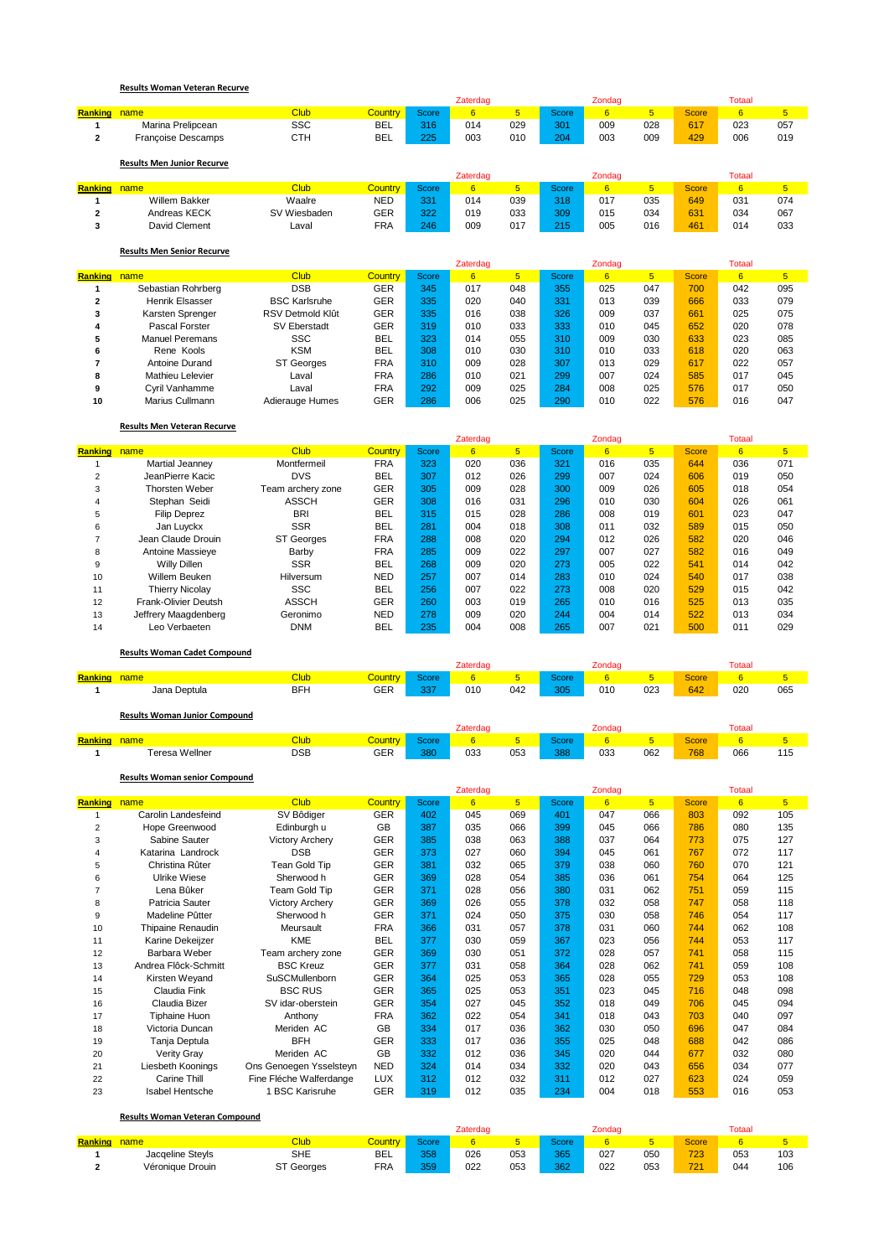|                |                                   |               |                |          | Zaterdag |                |              | Zondag |                |              | <b>Totaal</b> |                |
|----------------|-----------------------------------|---------------|----------------|----------|----------|----------------|--------------|--------|----------------|--------------|---------------|----------------|
| <b>Ranking</b> | name                              | <b>Club</b>   | <b>Country</b> | Score    | 6        | 5 <sup>5</sup> | <b>Score</b> | 6      | 5 <sup>5</sup> | <b>Score</b> | 6             | 5              |
|                | Marina Prelipcean                 | <b>SSC</b>    | <b>BEL</b>     | 316      | 014      | 029            | 301          | 009    | 028            | 617          | 023           | 057            |
| $\mathbf{2}$   | <b>Françoise Descamps</b>         | <b>CTH</b>    | <b>BEL</b>     | 225      | 003      | 010            | 204          | 003    | 009            | 429          | 006           | 019            |
|                | <b>Results Men Junior Recurve</b> |               |                |          |          |                |              |        |                |              |               |                |
|                |                                   |               |                |          | Zaterdag |                |              | Zondag |                |              | <b>Totaal</b> |                |
| <b>Ranking</b> | name                              | <b>Club</b>   | <b>Country</b> | Score    | 6        | 5 <sup>1</sup> | <b>Score</b> | 6      | 5 <sup>5</sup> | <b>Score</b> | 6             | 5              |
|                | <b>Willem Bakker</b>              | Waalre        | <b>NED</b>     | 331      | 014      | 039            | 318          | 017    | 035            | 649          | 031           | 074            |
| $\overline{2}$ | Andreas KECK                      | SV Wiesbaden  | <b>GER</b>     | 322      | 019      | 033            | 309          | 015    | 034            | 631          | 034           | 067            |
| 3              | David Clement                     | Laval         | <b>FRA</b>     | 246      | 009      | 017            | 215          | 005    | 016            | 461          | 014           | 033            |
|                | <b>Results Men Senior Recurve</b> |               |                |          |          |                |              |        |                |              |               |                |
|                |                                   |               |                |          | Zaterdag |                |              | Zondag |                |              | <b>Totaal</b> |                |
| <b>Ranking</b> | name                              | <b>Club</b>   | <b>Country</b> | Score    | 6        | 5 <sup>5</sup> | Score        | 6      | 5 <sup>5</sup> | <b>Score</b> | 6             | $\overline{5}$ |
|                | Sebastian Rohrberg                | <b>DSB</b>    | GER            | 345      | 017      | 048            | 355          | 025    | 047            | 700          | 042           | 095            |
| $\sim$         | The staffs of the second state    | $DOM (X = 1)$ | $\sim$ $\sim$  | $\theta$ | 000      | 0.40           | 004          | 040    | 000            | 000          | 000           | 070            |

|    | Henrik Elsasser        | <b>BSC Karlsruhe</b> | GER        | 335 | 020 | 040 | 331 | 013 | 039 | 666 | 033 | 079 |
|----|------------------------|----------------------|------------|-----|-----|-----|-----|-----|-----|-----|-----|-----|
|    | Karsten Sprenger       | RSV Detmold Klût     | GER        | 335 | 016 | 038 | 326 | 009 | 037 | 661 | 025 | 075 |
|    | Pascal Forster         | SV Eberstadt         | GER        | 319 | 010 | 033 | 333 | 010 | 045 | 652 | 020 | 078 |
|    | <b>Manuel Peremans</b> | <b>SSC</b>           | <b>BEL</b> | 323 | 014 | 055 | 310 | 009 | 030 | 633 | 023 | 085 |
| 6  | Rene Kools             | <b>KSM</b>           | <b>BEL</b> | 308 | 010 | 030 | 310 | 010 | 033 | 618 | 020 | 063 |
|    | Antoine Durand         | <b>ST Georges</b>    | FRA        | 310 | 009 | 028 | 307 | 013 | 029 | 617 | 022 | 057 |
| 8  | Mathieu Lelevier       | Laval                | FRA        | 286 | 010 | 021 | 299 | 007 | 024 | 585 | 017 | 045 |
| 9  | Cvril Vanhamme         | Laval                | FRA        | 292 | 009 | 025 | 284 | 008 | 025 | 576 | 017 | 050 |
| 10 | Marius Cullmann        | Adierauge Humes      | GER        | 286 | 006 | 025 | 290 | 010 | 022 | 576 | 016 | 047 |

## **Results Men Veteran Recurve**

|                |                        |                   |                |       | Zaterdag |                |       | Zondag      |     |              | Totaal |                 |
|----------------|------------------------|-------------------|----------------|-------|----------|----------------|-------|-------------|-----|--------------|--------|-----------------|
| <b>Ranking</b> | name                   | <b>Club</b>       | <b>Country</b> | Score | 6        | 5 <sup>1</sup> | Score | $6^{\circ}$ | 5   | <b>Score</b> | 6      | $5\phantom{.0}$ |
|                | <b>Martial Jeanney</b> | Montfermeil       | <b>FRA</b>     | 323   | 020      | 036            | 321   | 016         | 035 | 644          | 036    | 071             |
| 2              | JeanPierre Kacic       | <b>DVS</b>        | <b>BEL</b>     | 307   | 012      | 026            | 299   | 007         | 024 | 606          | 019    | 050             |
| 3              | Thorsten Weber         | Team archery zone | <b>GER</b>     | 305   | 009      | 028            | 300   | 009         | 026 | 605          | 018    | 054             |
| 4              | Stephan Seidi          | <b>ASSCH</b>      | <b>GER</b>     | 308   | 016      | 031            | 296   | 010         | 030 | 604          | 026    | 061             |
| 5              | <b>Filip Deprez</b>    | <b>BRI</b>        | <b>BEL</b>     | 315   | 015      | 028            | 286   | 008         | 019 | 601          | 023    | 047             |
| 6              | Jan Luyckx             | <b>SSR</b>        | <b>BEL</b>     | 281   | 004      | 018            | 308   | 011         | 032 | 589          | 015    | 050             |
|                | Jean Claude Drouin     | ST Georges        | <b>FRA</b>     | 288   | 008      | 020            | 294   | 012         | 026 | 582          | 020    | 046             |
| 8              | Antoine Massieve       | Barby             | <b>FRA</b>     | 285   | 009      | 022            | 297   | 007         | 027 | 582          | 016    | 049             |
| 9              | Willy Dillen           | <b>SSR</b>        | <b>BEL</b>     | 268   | 009      | 020            | 273   | 005         | 022 | 541          | 014    | 042             |
| 10             | Willem Beuken          | Hilversum         | <b>NED</b>     | 257   | 007      | 014            | 283   | 010         | 024 | 540          | 017    | 038             |
| 11             | <b>Thierry Nicolay</b> | <b>SSC</b>        | <b>BEL</b>     | 256   | 007      | 022            | 273   | 008         | 020 | 529          | 015    | 042             |
| 12             | Frank-Olivier Deutsh   | <b>ASSCH</b>      | <b>GER</b>     | 260   | 003      | 019            | 265   | 010         | 016 | 525          | 013    | 035             |
| 13             | Jeffrery Maagdenberg   | Geronimo          | <b>NED</b>     | 278   | 009      | 020            | 244   | 004         | 014 | 522          | 013    | 034             |
| 14             | Leo Verbaeten          | DNM               | <b>BEL</b>     | 235   | 004      | 008            | 265   | 007         | 021 | 500          | 011    | 029             |

**Results Woman Cadet Compound**

|         |                   |             |                |                    | Zaterdac |     |              | Zondao |     |              | <b>Totaa</b> |     |
|---------|-------------------|-------------|----------------|--------------------|----------|-----|--------------|--------|-----|--------------|--------------|-----|
| Ranking | name <sup>1</sup> | <b>Club</b> | <b>Country</b> | Score <sup>1</sup> |          |     | <b>Score</b> |        |     | <b>Score</b> |              |     |
|         | Jana Deptula      | <b>BFH</b>  | GER            | 337                | 010      | 042 | 305          | 010    | 023 | 642          | 020          | 065 |
|         |                   |             |                |                    |          |     |              |        |     |              |              |     |

|         | <b>Results Woman Junior Compound</b> |                   |                 |       |          |     |       |        |          |       |        |              |
|---------|--------------------------------------|-------------------|-----------------|-------|----------|-----|-------|--------|----------|-------|--------|--------------|
|         |                                      |                   |                 |       | .aterdao |     |       | ondad: |          |       | Totaal |              |
| Ranking | ame                                  | Club              | <u> Country</u> | Score |          |     | Score |        |          | Score |        |              |
|         | <b>Teresa Wellner</b>                | <b>DSB</b><br>___ | GER<br>__       | 380   | 033      | 053 | 388   | 033    | 062<br>. | 768   | 066    | 11F<br>. ا ب |

## **Results Woman senior Compound**

|                |                      |                         |            |       | Zaterdag |                |       | Zondag |                |              | <b>Totaal</b> |                |
|----------------|----------------------|-------------------------|------------|-------|----------|----------------|-------|--------|----------------|--------------|---------------|----------------|
| <b>Ranking</b> | name                 | <b>Club</b>             | Country    | Score | 6        | 5 <sup>5</sup> | Score | 6      | 5 <sup>5</sup> | <b>Score</b> | 6             | 5 <sup>5</sup> |
|                | Carolin Landesfeind  | SV Bôdiger              | <b>GER</b> | 402   | 045      | 069            | 401   | 047    | 066            | 803          | 092           | 105            |
| 2              | Hope Greenwood       | Edinburgh u             | <b>GB</b>  | 387   | 035      | 066            | 399   | 045    | 066            | 786          | 080           | 135            |
| 3              | Sabine Sauter        | <b>Victory Archery</b>  | <b>GER</b> | 385   | 038      | 063            | 388   | 037    | 064            | 773          | 075           | 127            |
| 4              | Katarina Landrock    | <b>DSB</b>              | <b>GER</b> | 373   | 027      | 060            | 394   | 045    | 061            | 767          | 072           | 117            |
| 5              | Christina Rûter      | Tean Gold Tip           | <b>GER</b> | 381   | 032      | 065            | 379   | 038    | 060            | 760          | 070           | 121            |
| 6              | <b>Ulrike Wiese</b>  | Sherwood h              | <b>GER</b> | 369   | 028      | 054            | 385   | 036    | 061            | 754          | 064           | 125            |
|                | Lena Bûker           | Team Gold Tip           | <b>GER</b> | 371   | 028      | 056            | 380   | 031    | 062            | 751          | 059           | 115            |
| 8              | Patricia Sauter      | <b>Victory Archery</b>  | <b>GER</b> | 369   | 026      | 055            | 378   | 032    | 058            | 747          | 058           | 118            |
| 9              | Madeline Pûtter      | Sherwood h              | <b>GER</b> | 371   | 024      | 050            | 375   | 030    | 058            | 746          | 054           | 117            |
| 10             | Thipaine Renaudin    | Meursault               | <b>FRA</b> | 366   | 031      | 057            | 378   | 031    | 060            | 744          | 062           | 108            |
| 11             | Karine Dekeijzer     | <b>KME</b>              | <b>BEL</b> | 377   | 030      | 059            | 367   | 023    | 056            | 744          | 053           | 117            |
| 12             | Barbara Weber        | Team archery zone       | <b>GER</b> | 369   | 030      | 051            | 372   | 028    | 057            | 741          | 058           | 115            |
| 13             | Andrea Flôck-Schmitt | <b>BSC Kreuz</b>        | <b>GER</b> | 377   | 031      | 058            | 364   | 028    | 062            | 741          | 059           | 108            |
| 14             | Kirsten Weyand       | SuSCMullenborn          | <b>GER</b> | 364   | 025      | 053            | 365   | 028    | 055            | 729          | 053           | 108            |
| 15             | Claudia Fink         | <b>BSC RUS</b>          | <b>GER</b> | 365   | 025      | 053            | 351   | 023    | 045            | 716          | 048           | 098            |
| 16             | Claudia Bizer        | SV idar-oberstein       | <b>GER</b> | 354   | 027      | 045            | 352   | 018    | 049            | 706          | 045           | 094            |
| 17             | <b>Tiphaine Huon</b> | Anthony                 | <b>FRA</b> | 362   | 022      | 054            | 341   | 018    | 043            | 703          | 040           | 097            |
| 18             | Victoria Duncan      | Meriden AC              | <b>GB</b>  | 334   | 017      | 036            | 362   | 030    | 050            | 696          | 047           | 084            |
| 19             | Tanja Deptula        | <b>BFH</b>              | <b>GER</b> | 333   | 017      | 036            | 355   | 025    | 048            | 688          | 042           | 086            |
| 20             | Verity Gray          | Meriden AC              | <b>GB</b>  | 332   | 012      | 036            | 345   | 020    | 044            | 677          | 032           | 080            |
| 21             | Liesbeth Koonings    | Ons Genoegen Ysselsteyn | <b>NED</b> | 324   | 014      | 034            | 332   | 020    | 043            | 656          | 034           | 077            |
| 22             | Carine Thill         | Fine Fléche Walferdange | <b>LUX</b> | 312   | 012      | 032            | 311   | 012    | 027            | 623          | 024           | 059            |
| 23             | Isabel Hentsche      | 1 BSC Karisruhe         | <b>GER</b> | 319   | 012      | 035            | 234   | 004    | 018            | 553          | 016           | 053            |

**Results Woman Veteran Compound**

|                | - Results woman veteran compound |                   |            |              |          |     |        |        |     |              |        |     |
|----------------|----------------------------------|-------------------|------------|--------------|----------|-----|--------|--------|-----|--------------|--------|-----|
|                |                                  |                   |            |              | Zaterdag |     |        | Zondao |     |              | Totaal |     |
| <b>Ranking</b> | name.                            | Club              | Country    | <b>Score</b> |          |     | Score. |        |     | <b>Score</b> |        |     |
|                | Jacqeline Stevls                 | <b>SHE</b>        | BEL        | 358          | 026      | 053 | 365    | 027    | 050 | 723          | 053    | 103 |
|                | Véronique Drouin                 | <b>ST Georges</b> | <b>FRA</b> | 359          | 022      | 053 | 362    | 022    | 053 | 721          | 044    | 106 |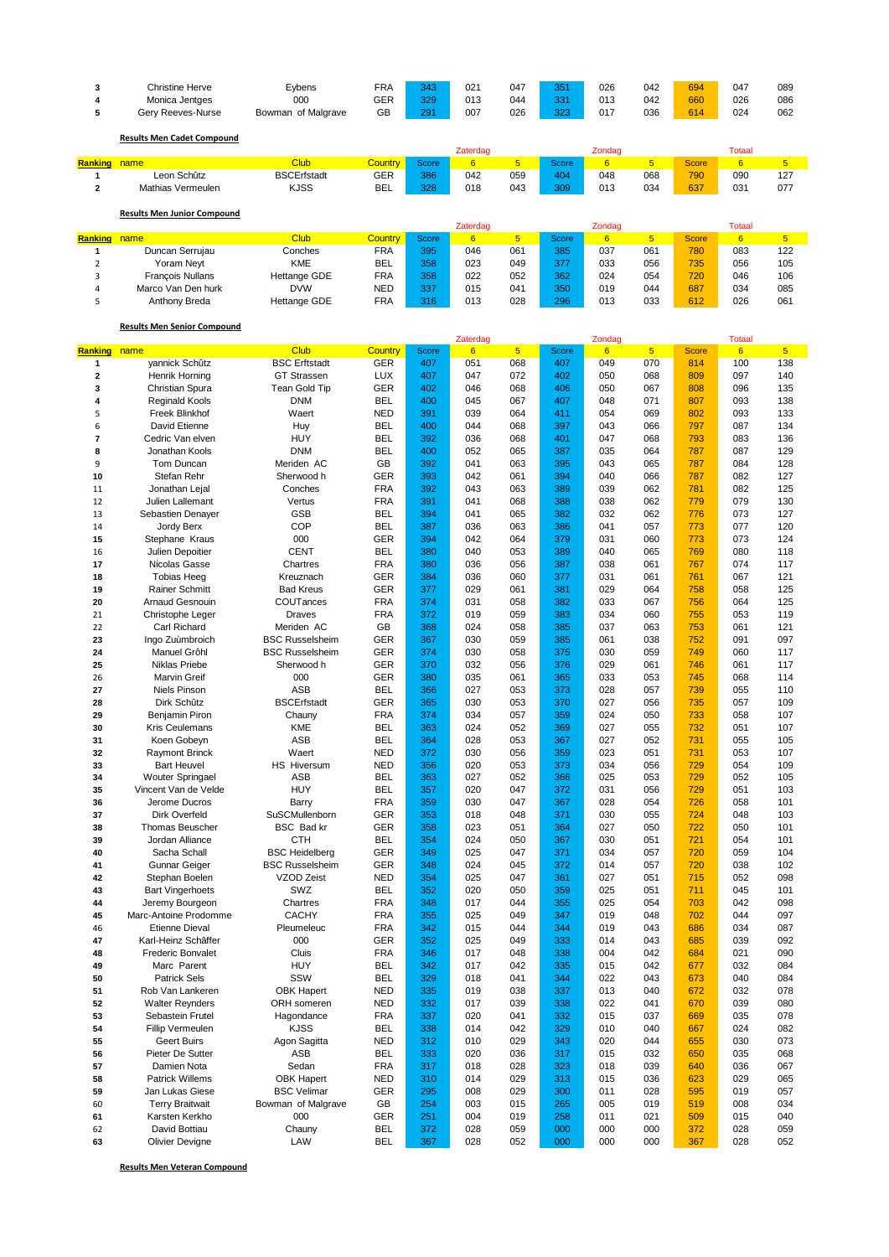| 3<br>4<br>5             | <b>Christine Herve</b><br>Monica Jentges<br>Gery Reeves-Nurse | Eybens<br>000<br>Bowman of Malgrave  | <b>FRA</b><br><b>GER</b><br>GB | 343<br>329<br>291 | 021<br>013<br>007           | 047<br>044<br>026 | 351<br>331<br>323 | 026<br>013<br>017         | 042<br>042<br>036 | 694<br>660<br>614 | 047<br>026<br>024               | 089<br>086<br>062 |
|-------------------------|---------------------------------------------------------------|--------------------------------------|--------------------------------|-------------------|-----------------------------|-------------------|-------------------|---------------------------|-------------------|-------------------|---------------------------------|-------------------|
|                         | <b>Results Men Cadet Compound</b>                             |                                      |                                |                   | Zaterdag                    |                   |                   | Zondag                    |                   |                   | <b>Totaal</b>                   |                   |
| <b>Ranking</b>          | name                                                          | <b>Club</b>                          | <b>Country</b>                 | <b>Score</b>      | $6\overline{6}$             | 5 <sub>5</sub>    | <b>Score</b>      | 6                         | 5 <sub>5</sub>    | <b>Score</b>      | 6                               | 5 <sup>5</sup>    |
| 1<br>$\mathbf{2}$       | Leon Schûtz<br>Mathias Vermeulen                              | <b>BSCErfstadt</b><br><b>KJSS</b>    | <b>GER</b><br><b>BEL</b>       | 386<br>328        | 042<br>018                  | 059<br>043        | 404<br>309        | 048<br>013                | 068<br>034        | 790<br>637        | 090<br>031                      | 127<br>077        |
|                         | <b>Results Men Junior Compound</b>                            |                                      |                                |                   |                             |                   |                   |                           |                   |                   |                                 |                   |
| <b>Ranking</b>          | name                                                          | <b>Club</b>                          | Country                        | <b>Score</b>      | Zaterdag<br>$6\overline{6}$ | $5\phantom{.0}$   | Score             | Zondag<br>$6\overline{6}$ | $\overline{5}$    | <b>Score</b>      | <b>Totaal</b><br>$6\phantom{1}$ | $5\phantom{.0}$   |
| 1                       | Duncan Serrujau                                               | Conches                              | <b>FRA</b>                     | 395               | 046                         | 061               | 385               | 037                       | 061               | 780               | 083                             | 122               |
| $\overline{\mathbf{c}}$ | Yoram Neyt                                                    | KME                                  | <b>BEL</b>                     | 358               | 023                         | 049               | 377               | 033                       | 056               | 735               | 056                             | 105               |
| 3                       | François Nullans                                              | Hettange GDE                         | <b>FRA</b>                     | 358               | 022                         | 052               | 362               | 024                       | 054               | 720               | 046                             | 106               |
| 4                       | Marco Van Den hurk                                            | <b>DVW</b>                           | <b>NED</b>                     | 337               | 015                         | 041               | 350               | 019                       | 044               | 687               | 034                             | 085               |
| 5                       | Anthony Breda                                                 | Hettange GDE                         | <b>FRA</b>                     | 316               | 013                         | 028               | 296               | 013                       | 033               | 612               | 026                             | 061               |
|                         | <b>Results Men Senior Compound</b>                            |                                      |                                |                   |                             |                   |                   |                           |                   |                   |                                 |                   |
|                         |                                                               |                                      |                                |                   | Zaterdag                    |                   |                   | Zondag                    |                   |                   | <b>Totaal</b>                   |                   |
| <b>Ranking</b>          | name                                                          | <b>Club</b>                          | <b>Country</b>                 | <b>Score</b>      | $6\overline{6}$             | $5\overline{)}$   | <b>Score</b>      | 6                         | 5 <sub>5</sub>    | <b>Score</b>      | 6                               | 5 <sup>1</sup>    |
| 1                       | yannick Schûtz                                                | <b>BSC Erftstadt</b>                 | <b>GER</b>                     | 407               | 051                         | 068               | 407               | 049                       | 070               | 814               | 100                             | 138               |
| $\overline{\mathbf{2}}$ | Henrik Horning                                                | <b>GT Strassen</b>                   | <b>LUX</b>                     | 407               | 047                         | 072               | 402               | 050                       | 068               | 809               | 097                             | 140               |
| 3                       | Christian Spura                                               | Tean Gold Tip                        | GER<br><b>BEL</b>              | 402               | 046                         | 068               | 406               | 050                       | 067               | 808               | 096                             | 135               |
| 4<br>5                  | <b>Reginald Kools</b><br>Freek Blinkhof                       | <b>DNM</b><br>Waert                  | <b>NED</b>                     | 400<br>391        | 045<br>039                  | 067<br>064        | 407<br>411        | 048<br>054                | 071<br>069        | 807<br>802        | 093<br>093                      | 138<br>133        |
| 6                       | David Etienne                                                 | Huy                                  | <b>BEL</b>                     | 400               | 044                         | 068               | 397               | 043                       | 066               | 797               | 087                             | 134               |
| $\overline{7}$          | Cedric Van elven                                              | <b>HUY</b>                           | <b>BEL</b>                     | 392               | 036                         | 068               | 401               | 047                       | 068               | 793               | 083                             | 136               |
| 8                       | Jonathan Kools                                                | <b>DNM</b>                           | <b>BEL</b>                     | 400               | 052                         | 065               | 387               | 035                       | 064               | 787               | 087                             | 129               |
| 9                       | Tom Duncan                                                    | Meriden AC                           | GB                             | 392               | 041                         | 063               | 395               | 043                       | 065               | 787               | 084                             | 128               |
| 10                      | Stefan Rehr                                                   | Sherwood h                           | <b>GER</b>                     | 393               | 042                         | 061               | 394               | 040                       | 066               | 787               | 082                             | 127               |
| 11                      | Jonathan Lejal                                                | Conches                              | <b>FRA</b>                     | 392               | 043                         | 063               | 389               | 039                       | 062               | 781               | 082                             | 125               |
| 12<br>13                | Julien Lallemant<br>Sebastien Denayer                         | Vertus<br><b>GSB</b>                 | <b>FRA</b><br><b>BEL</b>       | 391<br>394        | 041<br>041                  | 068<br>065        | 388<br>382        | 038<br>032                | 062<br>062        | 779<br>776        | 079<br>073                      | 130<br>127        |
| 14                      | Jordy Berx                                                    | COP                                  | <b>BEL</b>                     | 387               | 036                         | 063               | 386               | 041                       | 057               | 773               | 077                             | 120               |
| 15                      | Stephane Kraus                                                | 000                                  | <b>GER</b>                     | 394               | 042                         | 064               | 379               | 031                       | 060               | 773               | 073                             | 124               |
| 16                      | Julien Depoitier                                              | <b>CENT</b>                          | <b>BEL</b>                     | 380               | 040                         | 053               | 389               | 040                       | 065               | 769               | 080                             | 118               |
| 17                      | Nicolas Gasse                                                 | Chartres                             | <b>FRA</b>                     | 380               | 036                         | 056               | 387               | 038                       | 061               | 767               | 074                             | 117               |
| 18                      | <b>Tobias Heeg</b>                                            | Kreuznach                            | GER                            | 384               | 036                         | 060               | 377               | 031                       | 061               | 761               | 067                             | 121               |
| 19<br>20                | <b>Rainer Schmitt</b>                                         | <b>Bad Kreus</b><br>COUTances        | <b>GER</b><br><b>FRA</b>       | 377<br>374        | 029<br>031                  | 061<br>058        | 381<br>382        | 029<br>033                | 064<br>067        | 758<br>756        | 058<br>064                      | 125<br>125        |
| 21                      | <b>Arnaud Gesnouin</b><br>Christophe Leger                    | <b>Draves</b>                        | <b>FRA</b>                     | 372               | 019                         | 059               | 383               | 034                       | 060               | 755               | 053                             | 119               |
| 22                      | Carl Richard                                                  | Meriden AC                           | GB                             | 368               | 024                         | 058               | 385               | 037                       | 063               | 753               | 061                             | 121               |
| 23                      | Ingo Zuùmbroich                                               | <b>BSC Russelsheim</b>               | GER                            | 367               | 030                         | 059               | 385               | 061                       | 038               | 752               | 091                             | 097               |
| 24                      | Manuel Grôhl                                                  | <b>BSC Russelsheim</b>               | <b>GER</b>                     | 374               | 030                         | 058               | 375               | 030                       | 059               | 749               | 060                             | 117               |
| 25                      | Niklas Priebe                                                 | Sherwood h                           | <b>GER</b>                     | 370               | 032                         | 056               | 376               | 029                       | 061               | 746               | 061                             | 117               |
| 26                      | <b>Marvin Greif</b>                                           | 000                                  | <b>GER</b>                     | 380               | 035                         | 061               | 365               | 033                       | 053               | 745               | 068                             | 114               |
| 27<br>28                | <b>Niels Pinson</b><br>Dirk Schûtz                            | <b>ASB</b><br><b>BSCErfstadt</b>     | <b>BEL</b><br>GER              | 366<br>365        | 027<br>030                  | 053<br>053        | 373<br>370        | 028<br>027                | 057<br>056        | 739<br>735        | 055<br>057                      | 110<br>109        |
| 29                      | Benjamin Piron                                                | Chauny                               | <b>FRA</b>                     | 374               | 034                         | 057               | 359               | 024                       | 050               | 733               | 058                             | 107               |
| 30                      | <b>Kris Ceulemans</b>                                         | KME                                  | <b>BEL</b>                     | 363               | 024                         | 052               | 369               | 027                       | 055               | 732               | 051                             | 107               |
| 31                      | Koen Gobeyn                                                   | ASB                                  | BEL                            | 364               | 028                         | 053               | 367               | 027                       | 052               | 731               | 055                             | 105               |
| 32                      | <b>Raymont Brinck</b>                                         | Waert                                | <b>NED</b>                     | 372               | 030                         | 056               | 359               | 023                       | 051               | 731               | 053                             | 107               |
| 33                      | <b>Bart Heuvel</b>                                            | HS Hiversum                          | <b>NED</b>                     | 356               | 020                         | 053               | 373               | 034                       | 056               | 729               | 054                             | 109               |
| 34<br>35                | <b>Wouter Springael</b><br>Vincent Van de Velde               | <b>ASB</b><br><b>HUY</b>             | <b>BEL</b><br><b>BEL</b>       | 363<br>357        | 027<br>020                  | 052<br>047        | 366<br>372        | 025<br>031                | 053<br>056        | 729<br>729        | 052<br>051                      | 105<br>103        |
| 36                      | Jerome Ducros                                                 | Barry                                | <b>FRA</b>                     | 359               | 030                         | 047               | 367               | 028                       | 054               | 726               | 058                             | 101               |
| 37                      | Dirk Overfeld                                                 | SuSCMullenborn                       | <b>GER</b>                     | 353               | 018                         | 048               | 371               | 030                       | 055               | 724               | 048                             | 103               |
| 38                      | Thomas Beuscher                                               | BSC Bad kr                           | GER                            | 358               | 023                         | 051               | 364               | 027                       | 050               | 722               | 050                             | 101               |
| 39                      | Jordan Alliance                                               | <b>CTH</b>                           | <b>BEL</b>                     | 354               | 024                         | 050               | 367               | 030                       | 051               | 721               | 054                             | 101               |
| 40                      | Sacha Schall                                                  | <b>BSC Heidelberg</b>                | <b>GER</b>                     | 349               | 025                         | 047               | 371               | 034                       | 057               | 720               | 059                             | 104               |
| 41<br>42                | Gunnar Geiger<br>Stephan Boelen                               | <b>BSC Russelsheim</b><br>VZOD Zeist | <b>GER</b><br><b>NED</b>       | 348<br>354        | 024<br>025                  | 045<br>047        | 372<br>361        | 014<br>027                | 057<br>051        | 720<br>715        | 038<br>052                      | 102<br>098        |
| 43                      | <b>Bart Vingerhoets</b>                                       | SWZ                                  | <b>BEL</b>                     | 352               | 020                         | 050               | 359               | 025                       | 051               | 711               | 045                             | 101               |
| 44                      | Jeremy Bourgeon                                               | Chartres                             | <b>FRA</b>                     | 348               | 017                         | 044               | 355               | 025                       | 054               | 703               | 042                             | 098               |
| 45                      | Marc-Antoine Prodomme                                         | <b>CACHY</b>                         | <b>FRA</b>                     | 355               | 025                         | 049               | 347               | 019                       | 048               | 702               | 044                             | 097               |
| 46                      | <b>Etienne Dieval</b>                                         | Pleumeleuc                           | <b>FRA</b>                     | 342               | 015                         | 044               | 344               | 019                       | 043               | 686               | 034                             | 087               |
| 47                      | Karl-Heinz Schâffer                                           | 000                                  | <b>GER</b>                     | 352               | 025                         | 049               | 333               | 014                       | 043               | 685               | 039                             | 092               |
| 48<br>49                | Frederic Bonvalet<br>Marc Parent                              | Cluis<br><b>HUY</b>                  | <b>FRA</b><br><b>BEL</b>       | 346<br>342        | 017<br>017                  | 048<br>042        | 338<br>335        | 004<br>015                | 042<br>042        | 684<br>677        | 021<br>032                      | 090<br>084        |
| 50                      | <b>Patrick Sels</b>                                           | SSW                                  | <b>BEL</b>                     | 329               | 018                         | 041               | 344               | 022                       | 043               | 673               | 040                             | 084               |
| 51                      | Rob Van Lankeren                                              | <b>OBK Hapert</b>                    | <b>NED</b>                     | 335               | 019                         | 038               | 337               | 013                       | 040               | 672               | 032                             | 078               |
| 52                      | <b>Walter Reynders</b>                                        | ORH someren                          | <b>NED</b>                     | 332               | 017                         | 039               | 338               | 022                       | 041               | 670               | 039                             | 080               |
| 53                      | Sebastein Frutel                                              | Hagondance                           | <b>FRA</b>                     | 337               | 020                         | 041               | 332               | 015                       | 037               | 669               | 035                             | 078               |
| 54                      | Fillip Vermeulen                                              | <b>KJSS</b>                          | <b>BEL</b>                     | 338               | 014                         | 042               | 329               | 010                       | 040               | 667               | 024                             | 082               |
| 55<br>56                | Geert Buirs<br>Pieter De Sutter                               | Agon Sagitta<br>ASB                  | <b>NED</b><br><b>BEL</b>       | 312<br>333        | 010<br>020                  | 029<br>036        | 343<br>317        | 020<br>015                | 044<br>032        | 655<br>650        | 030<br>035                      | 073<br>068        |
| 57                      | Damien Nota                                                   | Sedan                                | <b>FRA</b>                     | 317               | 018                         | 028               | 323               | 018                       | 039               | 640               | 036                             | 067               |
| 58                      | <b>Patrick Willems</b>                                        | <b>OBK Hapert</b>                    | NED                            | 310               | 014                         | 029               | 313               | 015                       | 036               | 623               | 029                             | 065               |
| 59                      | Jan Lukas Giese                                               | <b>BSC Velimar</b>                   | <b>GER</b>                     | 295               | 008                         | 029               | 300               | 011                       | 028               | 595               | 019                             | 057               |
| 60                      | <b>Terry Braitwait</b>                                        | Bowman of Malgrave                   | GB                             | 254               | 003                         | 015               | 265               | 005                       | 019               | 519               | 008                             | 034               |
| 61                      | Karsten Kerkho                                                | 000                                  | <b>GER</b>                     | 251               | 004                         | 019               | 258               | 011                       | 021               | 509               | 015                             | 040               |
| 62                      | David Bottiau                                                 | Chauny<br>LAW                        | <b>BEL</b>                     | 372               | 028                         | 059               | 000               | 000                       | 000               | 372               | 028                             | 059               |
| 63                      | Olivier Devigne                                               |                                      | <b>BEL</b>                     | 367               | 028                         | 052               | 000               | 000                       | 000               | 367               | 028                             | 052               |

**Results Men Veteran Compound**